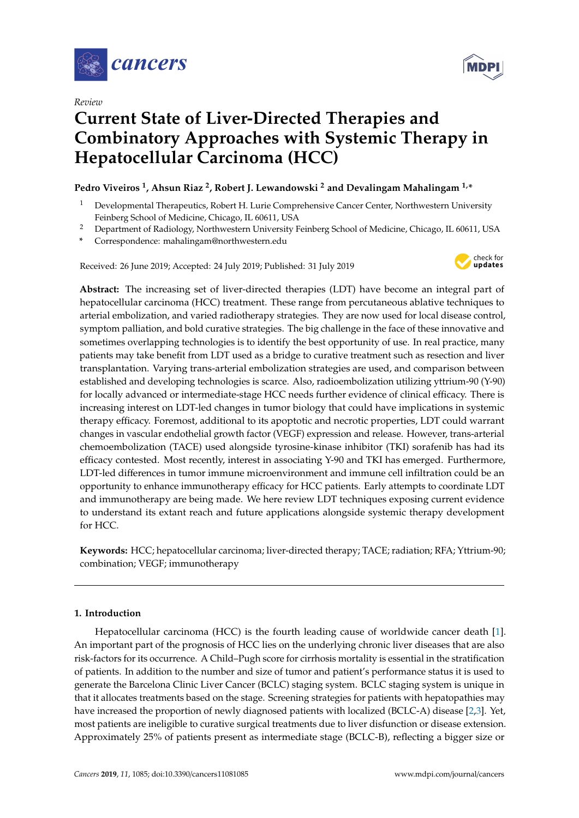

*Review*

# **Current State of Liver-Directed Therapies and Combinatory Approaches with Systemic Therapy in Hepatocellular Carcinoma (HCC)**

# **Pedro Viveiros <sup>1</sup> , Ahsun Riaz <sup>2</sup> , Robert J. Lewandowski <sup>2</sup> and Devalingam Mahalingam 1,\***

- <sup>1</sup> Developmental Therapeutics, Robert H. Lurie Comprehensive Cancer Center, Northwestern University Feinberg School of Medicine, Chicago, IL 60611, USA
- <sup>2</sup> Department of Radiology, Northwestern University Feinberg School of Medicine, Chicago, IL 60611, USA
- **\*** Correspondence: mahalingam@northwestern.edu

Received: 26 June 2019; Accepted: 24 July 2019; Published: 31 July 2019



**Abstract:** The increasing set of liver-directed therapies (LDT) have become an integral part of hepatocellular carcinoma (HCC) treatment. These range from percutaneous ablative techniques to arterial embolization, and varied radiotherapy strategies. They are now used for local disease control, symptom palliation, and bold curative strategies. The big challenge in the face of these innovative and sometimes overlapping technologies is to identify the best opportunity of use. In real practice, many patients may take benefit from LDT used as a bridge to curative treatment such as resection and liver transplantation. Varying trans-arterial embolization strategies are used, and comparison between established and developing technologies is scarce. Also, radioembolization utilizing yttrium-90 (Y-90) for locally advanced or intermediate-stage HCC needs further evidence of clinical efficacy. There is increasing interest on LDT-led changes in tumor biology that could have implications in systemic therapy efficacy. Foremost, additional to its apoptotic and necrotic properties, LDT could warrant changes in vascular endothelial growth factor (VEGF) expression and release. However, trans-arterial chemoembolization (TACE) used alongside tyrosine-kinase inhibitor (TKI) sorafenib has had its efficacy contested. Most recently, interest in associating Y-90 and TKI has emerged. Furthermore, LDT-led differences in tumor immune microenvironment and immune cell infiltration could be an opportunity to enhance immunotherapy efficacy for HCC patients. Early attempts to coordinate LDT and immunotherapy are being made. We here review LDT techniques exposing current evidence to understand its extant reach and future applications alongside systemic therapy development for HCC.

**Keywords:** HCC; hepatocellular carcinoma; liver-directed therapy; TACE; radiation; RFA; Yttrium-90; combination; VEGF; immunotherapy

# **1. Introduction**

Hepatocellular carcinoma (HCC) is the fourth leading cause of worldwide cancer death [\[1\]](#page-11-0). An important part of the prognosis of HCC lies on the underlying chronic liver diseases that are also risk-factors for its occurrence. A Child–Pugh score for cirrhosis mortality is essential in the stratification of patients. In addition to the number and size of tumor and patient's performance status it is used to generate the Barcelona Clinic Liver Cancer (BCLC) staging system. BCLC staging system is unique in that it allocates treatments based on the stage. Screening strategies for patients with hepatopathies may have increased the proportion of newly diagnosed patients with localized (BCLC-A) disease [\[2](#page-11-1)[,3\]](#page-11-2). Yet, most patients are ineligible to curative surgical treatments due to liver disfunction or disease extension. Approximately 25% of patients present as intermediate stage (BCLC-B), reflecting a bigger size or

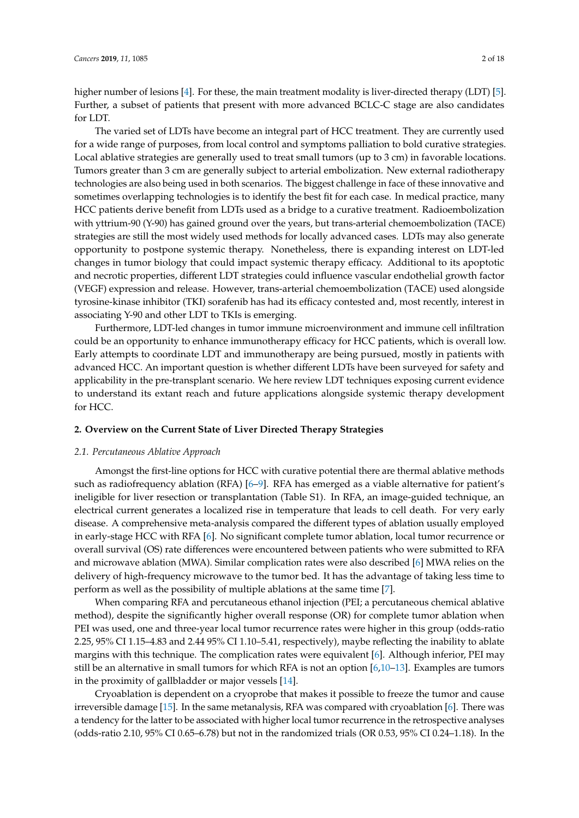higher number of lesions [\[4\]](#page-11-3). For these, the main treatment modality is liver-directed therapy (LDT) [\[5\]](#page-11-4). Further, a subset of patients that present with more advanced BCLC-C stage are also candidates for LDT.

The varied set of LDTs have become an integral part of HCC treatment. They are currently used for a wide range of purposes, from local control and symptoms palliation to bold curative strategies. Local ablative strategies are generally used to treat small tumors (up to 3 cm) in favorable locations. Tumors greater than 3 cm are generally subject to arterial embolization. New external radiotherapy technologies are also being used in both scenarios. The biggest challenge in face of these innovative and sometimes overlapping technologies is to identify the best fit for each case. In medical practice, many HCC patients derive benefit from LDTs used as a bridge to a curative treatment. Radioembolization with yttrium-90 (Y-90) has gained ground over the years, but trans-arterial chemoembolization (TACE) strategies are still the most widely used methods for locally advanced cases. LDTs may also generate opportunity to postpone systemic therapy. Nonetheless, there is expanding interest on LDT-led changes in tumor biology that could impact systemic therapy efficacy. Additional to its apoptotic and necrotic properties, different LDT strategies could influence vascular endothelial growth factor (VEGF) expression and release. However, trans-arterial chemoembolization (TACE) used alongside tyrosine-kinase inhibitor (TKI) sorafenib has had its efficacy contested and, most recently, interest in associating Y-90 and other LDT to TKIs is emerging.

Furthermore, LDT-led changes in tumor immune microenvironment and immune cell infiltration could be an opportunity to enhance immunotherapy efficacy for HCC patients, which is overall low. Early attempts to coordinate LDT and immunotherapy are being pursued, mostly in patients with advanced HCC. An important question is whether different LDTs have been surveyed for safety and applicability in the pre-transplant scenario. We here review LDT techniques exposing current evidence to understand its extant reach and future applications alongside systemic therapy development for HCC.

# **2. Overview on the Current State of Liver Directed Therapy Strategies**

## *2.1. Percutaneous Ablative Approach*

Amongst the first-line options for HCC with curative potential there are thermal ablative methods such as radiofrequency ablation (RFA) [\[6–](#page-11-5)[9\]](#page-11-6). RFA has emerged as a viable alternative for patient's ineligible for liver resection or transplantation (Table S1). In RFA, an image-guided technique, an electrical current generates a localized rise in temperature that leads to cell death. For very early disease. A comprehensive meta-analysis compared the different types of ablation usually employed in early-stage HCC with RFA [\[6\]](#page-11-5). No significant complete tumor ablation, local tumor recurrence or overall survival (OS) rate differences were encountered between patients who were submitted to RFA and microwave ablation (MWA). Similar complication rates were also described [\[6\]](#page-11-5) MWA relies on the delivery of high-frequency microwave to the tumor bed. It has the advantage of taking less time to perform as well as the possibility of multiple ablations at the same time [\[7\]](#page-11-7).

When comparing RFA and percutaneous ethanol injection (PEI; a percutaneous chemical ablative method), despite the significantly higher overall response (OR) for complete tumor ablation when PEI was used, one and three-year local tumor recurrence rates were higher in this group (odds-ratio 2.25, 95% CI 1.15–4.83 and 2.44 95% CI 1.10–5.41, respectively), maybe reflecting the inability to ablate margins with this technique. The complication rates were equivalent [\[6\]](#page-11-5). Although inferior, PEI may still be an alternative in small tumors for which RFA is not an option [\[6](#page-11-5)[,10](#page-11-8)[–13\]](#page-12-0). Examples are tumors in the proximity of gallbladder or major vessels [\[14\]](#page-12-1).

Cryoablation is dependent on a cryoprobe that makes it possible to freeze the tumor and cause irreversible damage  $[15]$ . In the same metanalysis, RFA was compared with cryoablation  $[6]$ . There was a tendency for the latter to be associated with higher local tumor recurrence in the retrospective analyses (odds-ratio 2.10, 95% CI 0.65–6.78) but not in the randomized trials (OR 0.53, 95% CI 0.24–1.18). In the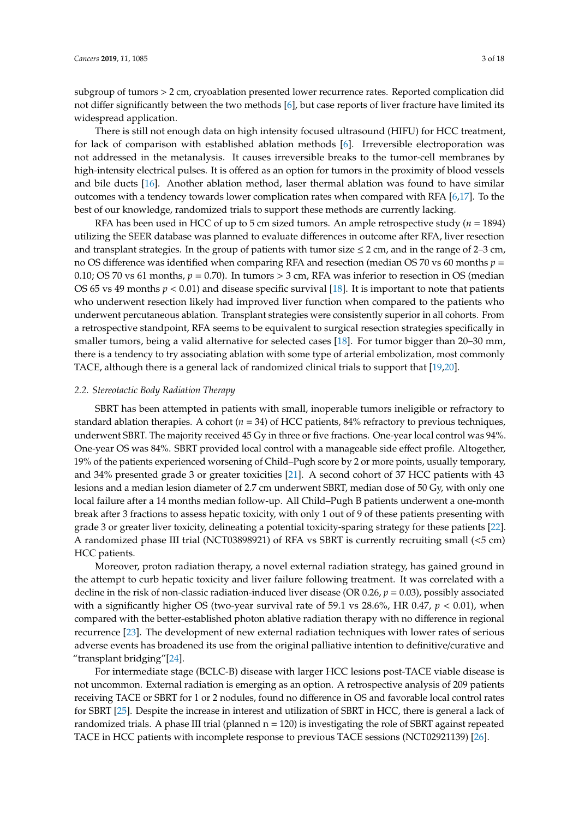widespread application. There is still not enough data on high intensity focused ultrasound (HIFU) for HCC treatment, for lack of comparison with established ablation methods [\[6\]](#page-11-5). Irreversible electroporation was not addressed in the metanalysis. It causes irreversible breaks to the tumor-cell membranes by high-intensity electrical pulses. It is offered as an option for tumors in the proximity of blood vessels and bile ducts [\[16\]](#page-12-3). Another ablation method, laser thermal ablation was found to have similar outcomes with a tendency towards lower complication rates when compared with RFA  $[6,17]$  $[6,17]$ . To the best of our knowledge, randomized trials to support these methods are currently lacking.

RFA has been used in HCC of up to 5 cm sized tumors. An ample retrospective study (*n* = 1894) utilizing the SEER database was planned to evaluate differences in outcome after RFA, liver resection and transplant strategies. In the group of patients with tumor size  $\leq 2$  cm, and in the range of 2–3 cm, no OS difference was identified when comparing RFA and resection (median OS 70 vs 60 months *p* = 0.10; OS 70 vs 61 months,  $p = 0.70$ ). In tumors  $> 3$  cm, RFA was inferior to resection in OS (median OS 65 vs 49 months  $p < 0.01$ ) and disease specific survival [\[18\]](#page-12-5). It is important to note that patients who underwent resection likely had improved liver function when compared to the patients who underwent percutaneous ablation. Transplant strategies were consistently superior in all cohorts. From a retrospective standpoint, RFA seems to be equivalent to surgical resection strategies specifically in smaller tumors, being a valid alternative for selected cases [\[18\]](#page-12-5). For tumor bigger than 20–30 mm, there is a tendency to try associating ablation with some type of arterial embolization, most commonly TACE, although there is a general lack of randomized clinical trials to support that [\[19,](#page-12-6)[20\]](#page-12-7).

## *2.2. Stereotactic Body Radiation Therapy*

SBRT has been attempted in patients with small, inoperable tumors ineligible or refractory to standard ablation therapies. A cohort  $(n = 34)$  of HCC patients, 84% refractory to previous techniques, underwent SBRT. The majority received 45 Gy in three or five fractions. One-year local control was 94%. One-year OS was 84%. SBRT provided local control with a manageable side effect profile. Altogether, 19% of the patients experienced worsening of Child–Pugh score by 2 or more points, usually temporary, and 34% presented grade 3 or greater toxicities [\[21\]](#page-12-8). A second cohort of 37 HCC patients with 43 lesions and a median lesion diameter of 2.7 cm underwent SBRT, median dose of 50 Gy, with only one local failure after a 14 months median follow-up. All Child–Pugh B patients underwent a one-month break after 3 fractions to assess hepatic toxicity, with only 1 out of 9 of these patients presenting with grade 3 or greater liver toxicity, delineating a potential toxicity-sparing strategy for these patients [\[22\]](#page-12-9). A randomized phase III trial (NCT03898921) of RFA vs SBRT is currently recruiting small (<5 cm) HCC patients.

Moreover, proton radiation therapy, a novel external radiation strategy, has gained ground in the attempt to curb hepatic toxicity and liver failure following treatment. It was correlated with a decline in the risk of non-classic radiation-induced liver disease (OR 0.26, *p* = 0.03), possibly associated with a significantly higher OS (two-year survival rate of 59.1 vs 28.6%, HR 0.47,  $p < 0.01$ ), when compared with the better-established photon ablative radiation therapy with no difference in regional recurrence [\[23\]](#page-12-10). The development of new external radiation techniques with lower rates of serious adverse events has broadened its use from the original palliative intention to definitive/curative and "transplant bridging"[\[24\]](#page-12-11).

For intermediate stage (BCLC-B) disease with larger HCC lesions post-TACE viable disease is not uncommon. External radiation is emerging as an option. A retrospective analysis of 209 patients receiving TACE or SBRT for 1 or 2 nodules, found no difference in OS and favorable local control rates for SBRT [\[25\]](#page-12-12). Despite the increase in interest and utilization of SBRT in HCC, there is general a lack of randomized trials. A phase III trial (planned  $n = 120$ ) is investigating the role of SBRT against repeated TACE in HCC patients with incomplete response to previous TACE sessions (NCT02921139) [\[26\]](#page-12-13).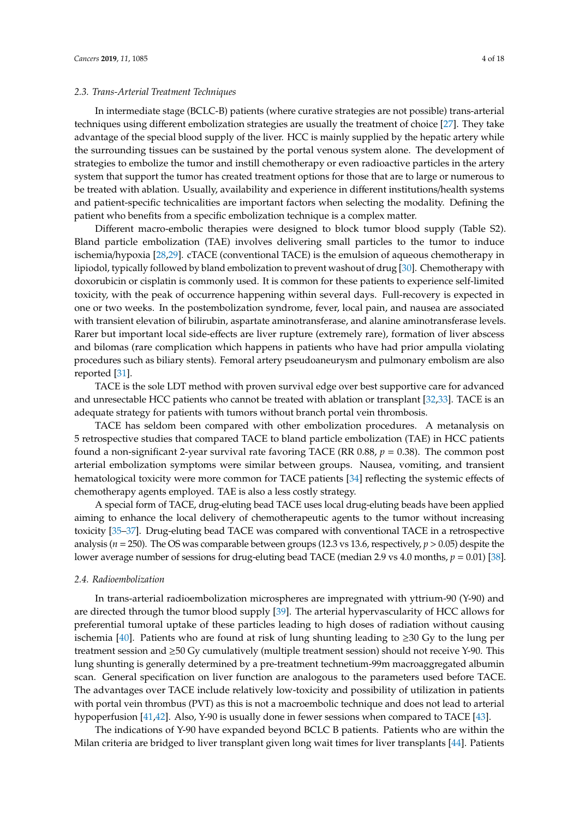# *2.3. Trans-Arterial Treatment Techniques*

In intermediate stage (BCLC-B) patients (where curative strategies are not possible) trans-arterial techniques using different embolization strategies are usually the treatment of choice [\[27\]](#page-12-14). They take advantage of the special blood supply of the liver. HCC is mainly supplied by the hepatic artery while the surrounding tissues can be sustained by the portal venous system alone. The development of strategies to embolize the tumor and instill chemotherapy or even radioactive particles in the artery system that support the tumor has created treatment options for those that are to large or numerous to be treated with ablation. Usually, availability and experience in different institutions/health systems and patient-specific technicalities are important factors when selecting the modality. Defining the patient who benefits from a specific embolization technique is a complex matter.

Different macro-embolic therapies were designed to block tumor blood supply (Table S2). Bland particle embolization (TAE) involves delivering small particles to the tumor to induce ischemia/hypoxia [\[28,](#page-13-0)[29\]](#page-13-1). cTACE (conventional TACE) is the emulsion of aqueous chemotherapy in lipiodol, typically followed by bland embolization to prevent washout of drug [\[30\]](#page-13-2). Chemotherapy with doxorubicin or cisplatin is commonly used. It is common for these patients to experience self-limited toxicity, with the peak of occurrence happening within several days. Full-recovery is expected in one or two weeks. In the postembolization syndrome, fever, local pain, and nausea are associated with transient elevation of bilirubin, aspartate aminotransferase, and alanine aminotransferase levels. Rarer but important local side-effects are liver rupture (extremely rare), formation of liver abscess and bilomas (rare complication which happens in patients who have had prior ampulla violating procedures such as biliary stents). Femoral artery pseudoaneurysm and pulmonary embolism are also reported [\[31\]](#page-13-3).

TACE is the sole LDT method with proven survival edge over best supportive care for advanced and unresectable HCC patients who cannot be treated with ablation or transplant [\[32,](#page-13-4)[33\]](#page-13-5). TACE is an adequate strategy for patients with tumors without branch portal vein thrombosis.

TACE has seldom been compared with other embolization procedures. A metanalysis on 5 retrospective studies that compared TACE to bland particle embolization (TAE) in HCC patients found a non-significant 2-year survival rate favoring TACE (RR 0.88, *p* = 0.38). The common post arterial embolization symptoms were similar between groups. Nausea, vomiting, and transient hematological toxicity were more common for TACE patients [\[34\]](#page-13-6) reflecting the systemic effects of chemotherapy agents employed. TAE is also a less costly strategy.

A special form of TACE, drug-eluting bead TACE uses local drug-eluting beads have been applied aiming to enhance the local delivery of chemotherapeutic agents to the tumor without increasing toxicity [\[35–](#page-13-7)[37\]](#page-13-8). Drug-eluting bead TACE was compared with conventional TACE in a retrospective analysis (*n* = 250). The OS was comparable between groups (12.3 vs 13.6, respectively, *p* > 0.05) despite the lower average number of sessions for drug-eluting bead TACE (median 2.9 vs 4.0 months, *p* = 0.01) [\[38\]](#page-13-9).

#### *2.4. Radioembolization*

In trans-arterial radioembolization microspheres are impregnated with yttrium-90 (Y-90) and are directed through the tumor blood supply [\[39\]](#page-13-10). The arterial hypervascularity of HCC allows for preferential tumoral uptake of these particles leading to high doses of radiation without causing ischemia [\[40\]](#page-13-11). Patients who are found at risk of lung shunting leading to ≥30 Gy to the lung per treatment session and ≥50 Gy cumulatively (multiple treatment session) should not receive Y-90. This lung shunting is generally determined by a pre-treatment technetium-99m macroaggregated albumin scan. General specification on liver function are analogous to the parameters used before TACE. The advantages over TACE include relatively low-toxicity and possibility of utilization in patients with portal vein thrombus (PVT) as this is not a macroembolic technique and does not lead to arterial hypoperfusion [\[41](#page-13-12)[,42\]](#page-13-13). Also, Y-90 is usually done in fewer sessions when compared to TACE [\[43\]](#page-13-14).

The indications of Y-90 have expanded beyond BCLC B patients. Patients who are within the Milan criteria are bridged to liver transplant given long wait times for liver transplants [\[44\]](#page-14-0). Patients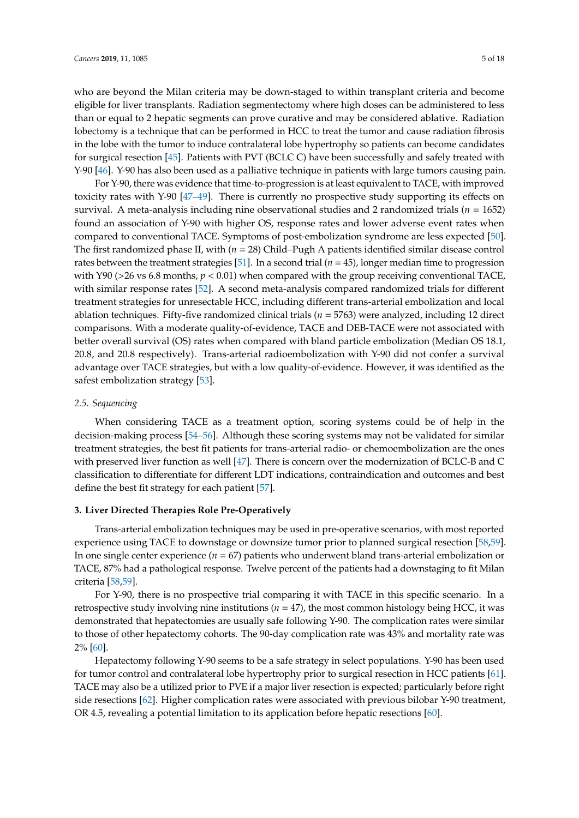who are beyond the Milan criteria may be down-staged to within transplant criteria and become eligible for liver transplants. Radiation segmentectomy where high doses can be administered to less than or equal to 2 hepatic segments can prove curative and may be considered ablative. Radiation lobectomy is a technique that can be performed in HCC to treat the tumor and cause radiation fibrosis in the lobe with the tumor to induce contralateral lobe hypertrophy so patients can become candidates for surgical resection [\[45\]](#page-14-1). Patients with PVT (BCLC C) have been successfully and safely treated with Y-90 [\[46\]](#page-14-2). Y-90 has also been used as a palliative technique in patients with large tumors causing pain.

For Y-90, there was evidence that time-to-progression is at least equivalent to TACE, with improved toxicity rates with Y-90 [\[47](#page-14-3)[–49\]](#page-14-4). There is currently no prospective study supporting its effects on survival. A meta-analysis including nine observational studies and 2 randomized trials (*n* = 1652) found an association of Y-90 with higher OS, response rates and lower adverse event rates when compared to conventional TACE. Symptoms of post-embolization syndrome are less expected [\[50\]](#page-14-5). The first randomized phase II, with (*n* = 28) Child–Pugh A patients identified similar disease control rates between the treatment strategies [\[51\]](#page-14-6). In a second trial (*n* = 45), longer median time to progression with Y90 ( $>$ 26 vs 6.8 months,  $p < 0.01$ ) when compared with the group receiving conventional TACE, with similar response rates [\[52\]](#page-14-7). A second meta-analysis compared randomized trials for different treatment strategies for unresectable HCC, including different trans-arterial embolization and local ablation techniques. Fifty-five randomized clinical trials (*n* = 5763) were analyzed, including 12 direct comparisons. With a moderate quality-of-evidence, TACE and DEB-TACE were not associated with better overall survival (OS) rates when compared with bland particle embolization (Median OS 18.1, 20.8, and 20.8 respectively). Trans-arterial radioembolization with Y-90 did not confer a survival advantage over TACE strategies, but with a low quality-of-evidence. However, it was identified as the safest embolization strategy [\[53\]](#page-14-8).

# *2.5. Sequencing*

When considering TACE as a treatment option, scoring systems could be of help in the decision-making process [\[54–](#page-14-9)[56\]](#page-14-10). Although these scoring systems may not be validated for similar treatment strategies, the best fit patients for trans-arterial radio- or chemoembolization are the ones with preserved liver function as well [\[47\]](#page-14-3). There is concern over the modernization of BCLC-B and C classification to differentiate for different LDT indications, contraindication and outcomes and best define the best fit strategy for each patient [\[57\]](#page-14-11).

# **3. Liver Directed Therapies Role Pre-Operatively**

Trans-arterial embolization techniques may be used in pre-operative scenarios, with most reported experience using TACE to downstage or downsize tumor prior to planned surgical resection [\[58,](#page-14-12)[59\]](#page-14-13). In one single center experience (*n* = 67) patients who underwent bland trans-arterial embolization or TACE, 87% had a pathological response. Twelve percent of the patients had a downstaging to fit Milan criteria [\[58](#page-14-12)[,59\]](#page-14-13).

For Y-90, there is no prospective trial comparing it with TACE in this specific scenario. In a retrospective study involving nine institutions ( $n = 47$ ), the most common histology being HCC, it was demonstrated that hepatectomies are usually safe following Y-90. The complication rates were similar to those of other hepatectomy cohorts. The 90-day complication rate was 43% and mortality rate was 2% [\[60\]](#page-15-0).

Hepatectomy following Y-90 seems to be a safe strategy in select populations. Y-90 has been used for tumor control and contralateral lobe hypertrophy prior to surgical resection in HCC patients [\[61\]](#page-15-1). TACE may also be a utilized prior to PVE if a major liver resection is expected; particularly before right side resections [\[62\]](#page-15-2). Higher complication rates were associated with previous bilobar Y-90 treatment, OR 4.5, revealing a potential limitation to its application before hepatic resections [\[60\]](#page-15-0).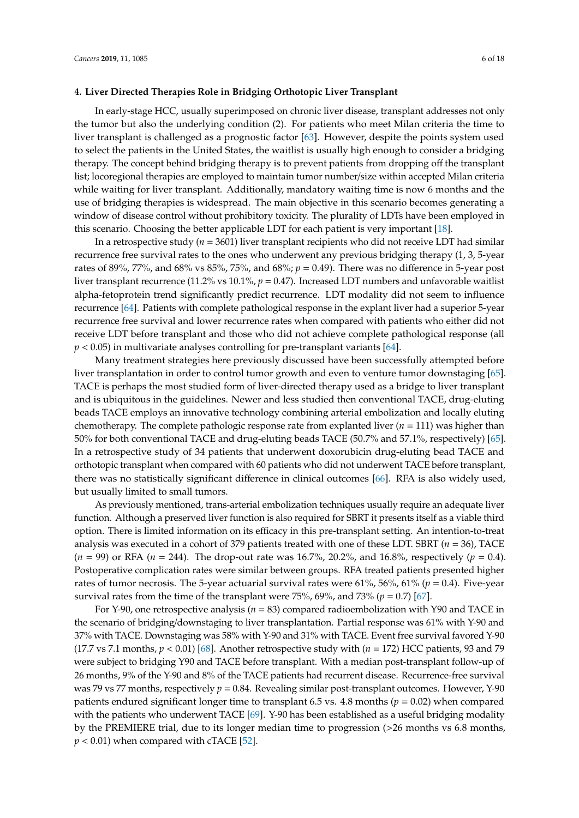# **4. Liver Directed Therapies Role in Bridging Orthotopic Liver Transplant**

In early-stage HCC, usually superimposed on chronic liver disease, transplant addresses not only the tumor but also the underlying condition (2). For patients who meet Milan criteria the time to liver transplant is challenged as a prognostic factor [\[63\]](#page-15-3). However, despite the points system used to select the patients in the United States, the waitlist is usually high enough to consider a bridging therapy. The concept behind bridging therapy is to prevent patients from dropping off the transplant list; locoregional therapies are employed to maintain tumor number/size within accepted Milan criteria while waiting for liver transplant. Additionally, mandatory waiting time is now 6 months and the use of bridging therapies is widespread. The main objective in this scenario becomes generating a window of disease control without prohibitory toxicity. The plurality of LDTs have been employed in this scenario. Choosing the better applicable LDT for each patient is very important [\[18\]](#page-12-5).

In a retrospective study (*n* = 3601) liver transplant recipients who did not receive LDT had similar recurrence free survival rates to the ones who underwent any previous bridging therapy (1, 3, 5-year rates of 89%, 77%, and 68% vs 85%, 75%, and 68%; *p* = 0.49). There was no difference in 5-year post liver transplant recurrence (11.2% vs 10.1%, *p* = 0.47). Increased LDT numbers and unfavorable waitlist alpha-fetoprotein trend significantly predict recurrence. LDT modality did not seem to influence recurrence [\[64\]](#page-15-4). Patients with complete pathological response in the explant liver had a superior 5-year recurrence free survival and lower recurrence rates when compared with patients who either did not receive LDT before transplant and those who did not achieve complete pathological response (all *p* < 0.05) in multivariate analyses controlling for pre-transplant variants [\[64\]](#page-15-4).

Many treatment strategies here previously discussed have been successfully attempted before liver transplantation in order to control tumor growth and even to venture tumor downstaging [\[65\]](#page-15-5). TACE is perhaps the most studied form of liver-directed therapy used as a bridge to liver transplant and is ubiquitous in the guidelines. Newer and less studied then conventional TACE, drug-eluting beads TACE employs an innovative technology combining arterial embolization and locally eluting chemotherapy. The complete pathologic response rate from explanted liver (*n* = 111) was higher than 50% for both conventional TACE and drug-eluting beads TACE (50.7% and 57.1%, respectively) [\[65\]](#page-15-5). In a retrospective study of 34 patients that underwent doxorubicin drug-eluting bead TACE and orthotopic transplant when compared with 60 patients who did not underwent TACE before transplant, there was no statistically significant difference in clinical outcomes [\[66\]](#page-15-6). RFA is also widely used, but usually limited to small tumors.

As previously mentioned, trans-arterial embolization techniques usually require an adequate liver function. Although a preserved liver function is also required for SBRT it presents itself as a viable third option. There is limited information on its efficacy in this pre-transplant setting. An intention-to-treat analysis was executed in a cohort of 379 patients treated with one of these LDT. SBRT (*n* = 36), TACE (*n* = 99) or RFA (*n* = 244). The drop-out rate was 16.7%, 20.2%, and 16.8%, respectively (*p* = 0.4). Postoperative complication rates were similar between groups. RFA treated patients presented higher rates of tumor necrosis. The 5-year actuarial survival rates were 61%, 56%, 61% ( $p = 0.4$ ). Five-year survival rates from the time of the transplant were  $75\%$ ,  $69\%$ , and  $73\%$  ( $p = 0.7$ ) [\[67\]](#page-15-7).

For Y-90, one retrospective analysis (*n* = 83) compared radioembolization with Y90 and TACE in the scenario of bridging/downstaging to liver transplantation. Partial response was 61% with Y-90 and 37% with TACE. Downstaging was 58% with Y-90 and 31% with TACE. Event free survival favored Y-90 (17.7 vs 7.1 months,  $p < 0.01$ ) [\[68\]](#page-15-8). Another retrospective study with ( $n = 172$ ) HCC patients, 93 and 79 were subject to bridging Y90 and TACE before transplant. With a median post-transplant follow-up of 26 months, 9% of the Y-90 and 8% of the TACE patients had recurrent disease. Recurrence-free survival was 79 vs 77 months, respectively *p* = 0.84. Revealing similar post-transplant outcomes. However, Y-90 patients endured significant longer time to transplant 6.5 vs. 4.8 months ( $p = 0.02$ ) when compared with the patients who underwent TACE [\[69\]](#page-15-9). Y-90 has been established as a useful bridging modality by the PREMIERE trial, due to its longer median time to progression (>26 months vs 6.8 months,  $p < 0.01$ ) when compared with cTACE [\[52\]](#page-14-7).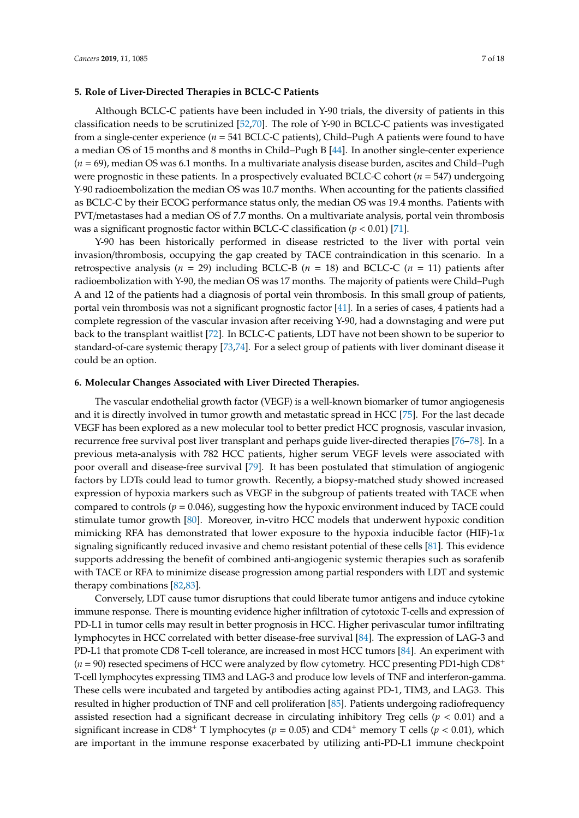# **5. Role of Liver-Directed Therapies in BCLC-C Patients**

Although BCLC-C patients have been included in Y-90 trials, the diversity of patients in this classification needs to be scrutinized [\[52,](#page-14-7)[70\]](#page-15-10). The role of Y-90 in BCLC-C patients was investigated from a single-center experience (*n* = 541 BCLC-C patients), Child–Pugh A patients were found to have a median OS of 15 months and 8 months in Child–Pugh B [\[44\]](#page-14-0). In another single-center experience (*n* = 69), median OS was 6.1 months. In a multivariate analysis disease burden, ascites and Child–Pugh were prognostic in these patients. In a prospectively evaluated BCLC-C cohort (*n* = 547) undergoing Y-90 radioembolization the median OS was 10.7 months. When accounting for the patients classified as BCLC-C by their ECOG performance status only, the median OS was 19.4 months. Patients with PVT/metastases had a median OS of 7.7 months. On a multivariate analysis, portal vein thrombosis was a significant prognostic factor within BCLC-C classification (*p* < 0.01) [\[71\]](#page-15-11).

Y-90 has been historically performed in disease restricted to the liver with portal vein invasion/thrombosis, occupying the gap created by TACE contraindication in this scenario. In a retrospective analysis ( $n = 29$ ) including BCLC-B ( $n = 18$ ) and BCLC-C ( $n = 11$ ) patients after radioembolization with Y-90, the median OS was 17 months. The majority of patients were Child–Pugh A and 12 of the patients had a diagnosis of portal vein thrombosis. In this small group of patients, portal vein thrombosis was not a significant prognostic factor [\[41\]](#page-13-12). In a series of cases, 4 patients had a complete regression of the vascular invasion after receiving Y-90, had a downstaging and were put back to the transplant waitlist [\[72\]](#page-15-12). In BCLC-C patients, LDT have not been shown to be superior to standard-of-care systemic therapy [\[73,](#page-15-13)[74\]](#page-15-14). For a select group of patients with liver dominant disease it could be an option.

#### **6. Molecular Changes Associated with Liver Directed Therapies.**

The vascular endothelial growth factor (VEGF) is a well-known biomarker of tumor angiogenesis and it is directly involved in tumor growth and metastatic spread in HCC [\[75\]](#page-15-15). For the last decade VEGF has been explored as a new molecular tool to better predict HCC prognosis, vascular invasion, recurrence free survival post liver transplant and perhaps guide liver-directed therapies [\[76–](#page-16-0)[78\]](#page-16-1). In a previous meta-analysis with 782 HCC patients, higher serum VEGF levels were associated with poor overall and disease-free survival [\[79\]](#page-16-2). It has been postulated that stimulation of angiogenic factors by LDTs could lead to tumor growth. Recently, a biopsy-matched study showed increased expression of hypoxia markers such as VEGF in the subgroup of patients treated with TACE when compared to controls ( $p = 0.046$ ), suggesting how the hypoxic environment induced by TACE could stimulate tumor growth [\[80\]](#page-16-3). Moreover, in-vitro HCC models that underwent hypoxic condition mimicking RFA has demonstrated that lower exposure to the hypoxia inducible factor (HIF)- $1\alpha$ signaling significantly reduced invasive and chemo resistant potential of these cells [\[81\]](#page-16-4). This evidence supports addressing the benefit of combined anti-angiogenic systemic therapies such as sorafenib with TACE or RFA to minimize disease progression among partial responders with LDT and systemic therapy combinations [\[82,](#page-16-5)[83\]](#page-16-6).

Conversely, LDT cause tumor disruptions that could liberate tumor antigens and induce cytokine immune response. There is mounting evidence higher infiltration of cytotoxic T-cells and expression of PD-L1 in tumor cells may result in better prognosis in HCC. Higher perivascular tumor infiltrating lymphocytes in HCC correlated with better disease-free survival [\[84\]](#page-16-7). The expression of LAG-3 and PD-L1 that promote CD8 T-cell tolerance, are increased in most HCC tumors [\[84\]](#page-16-7). An experiment with  $(n = 90)$  resected specimens of HCC were analyzed by flow cytometry. HCC presenting PD1-high CD8<sup>+</sup> T-cell lymphocytes expressing TIM3 and LAG-3 and produce low levels of TNF and interferon-gamma. These cells were incubated and targeted by antibodies acting against PD-1, TIM3, and LAG3. This resulted in higher production of TNF and cell proliferation [\[85\]](#page-16-8). Patients undergoing radiofrequency assisted resection had a significant decrease in circulating inhibitory Treg cells ( $p < 0.01$ ) and a significant increase in CD8<sup>+</sup> T lymphocytes ( $p = 0.05$ ) and CD4<sup>+</sup> memory T cells ( $p < 0.01$ ), which are important in the immune response exacerbated by utilizing anti-PD-L1 immune checkpoint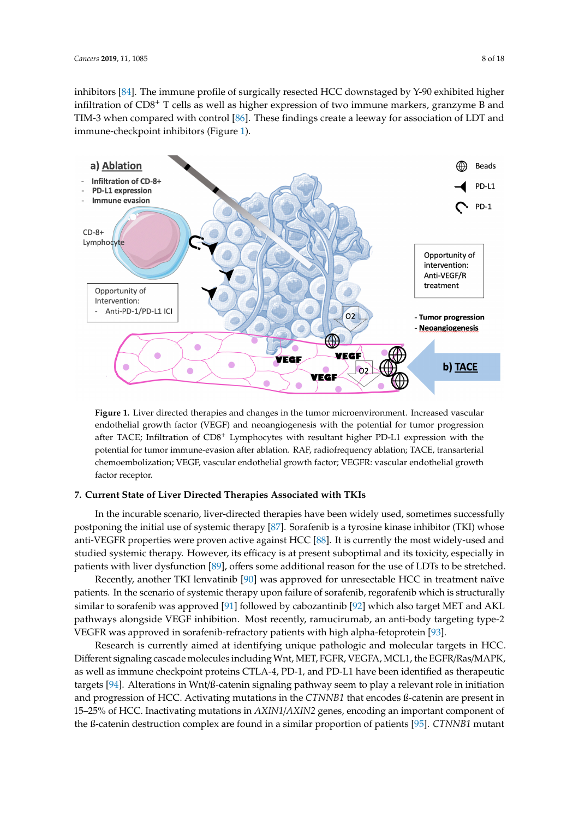inhibitors [\[84\]](#page-16-7). The immune profile of surgically resected HCC downstaged by Y-90 exhibited higher infiltration of CD8<sup>+</sup> T cells as well as higher expression of two immune markers, granzyme B and TIM-3 when compared with control [\[86\]](#page-16-9). These findings create a leeway for association of LDT and  $\frac{1}{2}$ immune-checkpoint inhibitors (Figure [1\)](#page-7-0). association of LDT and immune-checkpoint inhibitors (Figure 1).

<span id="page-7-0"></span>

**Figure 1.** Liver directed therapies and changes in the tumor microenvironment. Increased vascular **Figure 1.** Liver directed therapies and changes in the tumor microenvironment. Increased vascular endothelial growth factor (VEGF) and neoangiogenesis with the potential for tumor progression after TACE; Infiltration of CD8<sup>+</sup> Lymphocytes with resultant higher PD-L1 expression with the for tumor immune-evasion after ablation. RAF, radiofrequency ablation; TACE, transarterial potential for tumor immune-evasion after ablation. RAF, radiofrequency ablation; TACE, transarterial chemoembolization; VEGF, vascular endothelial growth factor; VEGFR: vascular endothelial growth chemoembolization; VEGF, vascular endothelial growth factor; VEGFR: vascular endothelial growth factor receptor. factor receptor.

# **7. Current State of Liver Directed Therapies Associated with TKIs 7. Current State of Liver Directed Therapies Associated with TKIs**

In the incurable scenario, liver-directed therapies have been widely used, sometimes In the incurable scenario, liver-directed therapies have been widely used, sometimes successfully postponing the initial use of systemic therapy [\[87\]](#page-16-10). Sorafenib is a tyrosine kinase inhibitor (TKI) whose anti-VEGFR properties were proven active [agai](#page-16-11)nst HCC [88]. It is currently the most widely-used and studied systemic therapy. However, its efficacy is at present suboptimal and its toxicity, especially in patients wi[th l](#page-16-12)iver dysfunction [89], offers some additional reason for the use of LDTs to be stretched.

Recently, another TKI lenvatinib [\[90\]](#page-16-13) was approved for unresectable HCC in treatment naïve patients. In the scenario of systemic therapy upon failure of sorafenib, regorafenib which is structurally similar to sorafenib was approved [\[91\]](#page-16-14) followed by cabozantinib [\[92\]](#page-16-15) which also target MET and AKL pathways alongside VEGF inhibition. Most recently, ramucirumab, an anti-body targeting type-2 n<br>VEGFR was approved in sorafenib-refractory patients with high alpha-fetoprotein [\[93\]](#page-17-0).

Research is currently aimed at identifying unique pathologic and molecular targets in HCC. [93]. Different signaling cascade molecules including Wnt, MET, FGFR, VEGFA, MCL1, the EGFR/Ras/MAPK, expressive grading advance increases including virus, the stray throust, the exert, and exert targets in HC<sub>C</sub> and  $\alpha$  $\omega$  were as minimal cascade molecules including which we have been defining to including targets [\[94\]](#page-17-1). Alterations in Wnt/ß-catenin signaling pathway seem to play a relevant role in initiation and progression of HCC. Activating mutations in the CHWDI that cheodes *s*-catenin are present in<br>15–25% of HCC. Inactivating mutations in *AXIN1/AXIN2* genes, encoding an important component of relevant role initiative in intervalse in the *FRIC. Collecting mutations* in the *CTNNB1* the ß-catenin destruction complex are found in a similar proportion of patients [\[95\]](#page-17-2). *CTNNB1* mutant and progression of HCC. Activating mutations in the *CTNNB1* that encodes ß-catenin are present in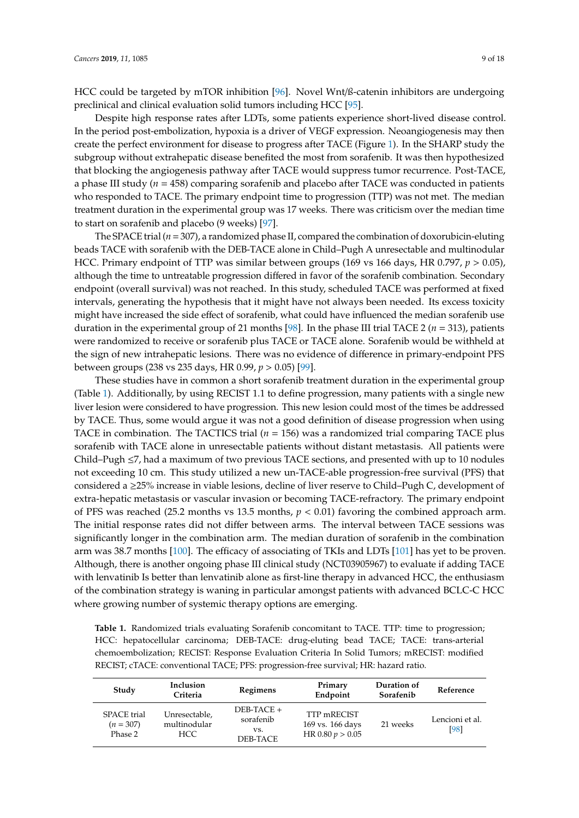HCC could be targeted by mTOR inhibition [\[96\]](#page-17-3). Novel Wnt/ß-catenin inhibitors are undergoing preclinical and clinical evaluation solid tumors including HCC [\[95\]](#page-17-2).

Despite high response rates after LDTs, some patients experience short-lived disease control. In the period post-embolization, hypoxia is a driver of VEGF expression. Neoangiogenesis may then create the perfect environment for disease to progress after TACE (Figure [1\)](#page-7-0). In the SHARP study the subgroup without extrahepatic disease benefited the most from sorafenib. It was then hypothesized that blocking the angiogenesis pathway after TACE would suppress tumor recurrence. Post-TACE, a phase III study (*n* = 458) comparing sorafenib and placebo after TACE was conducted in patients who responded to TACE. The primary endpoint time to progression (TTP) was not met. The median treatment duration in the experimental group was 17 weeks. There was criticism over the median time to start on sorafenib and placebo (9 weeks) [\[97\]](#page-17-4).

The SPACE trial (*n* = 307), a randomized phase II, compared the combination of doxorubicin-eluting beads TACE with sorafenib with the DEB-TACE alone in Child–Pugh A unresectable and multinodular HCC. Primary endpoint of TTP was similar between groups (169 vs 166 days, HR 0.797, *p* > 0.05), although the time to untreatable progression differed in favor of the sorafenib combination. Secondary endpoint (overall survival) was not reached. In this study, scheduled TACE was performed at fixed intervals, generating the hypothesis that it might have not always been needed. Its excess toxicity might have increased the side effect of sorafenib, what could have influenced the median sorafenib use duration in the experimental group of 21 months [\[98\]](#page-17-5). In the phase III trial TACE 2 (*n* = 313), patients were randomized to receive or sorafenib plus TACE or TACE alone. Sorafenib would be withheld at the sign of new intrahepatic lesions. There was no evidence of difference in primary-endpoint PFS between groups (238 vs 235 days, HR 0.99, *p* > 0.05) [\[99\]](#page-17-6).

These studies have in common a short sorafenib treatment duration in the experimental group (Table [1\)](#page-9-0). Additionally, by using RECIST 1.1 to define progression, many patients with a single new liver lesion were considered to have progression. This new lesion could most of the times be addressed by TACE. Thus, some would argue it was not a good definition of disease progression when using TACE in combination. The TACTICS trial  $(n = 156)$  was a randomized trial comparing TACE plus sorafenib with TACE alone in unresectable patients without distant metastasis. All patients were Child–Pugh ≤7, had a maximum of two previous TACE sections, and presented with up to 10 nodules not exceeding 10 cm. This study utilized a new un-TACE-able progression-free survival (PFS) that considered a ≥25% increase in viable lesions, decline of liver reserve to Child–Pugh C, development of extra-hepatic metastasis or vascular invasion or becoming TACE-refractory. The primary endpoint of PFS was reached (25.2 months vs 13.5 months, *p* < 0.01) favoring the combined approach arm. The initial response rates did not differ between arms. The interval between TACE sessions was significantly longer in the combination arm. The median duration of sorafenib in the combination arm was 38.7 months [\[100\]](#page-17-7). The efficacy of associating of TKIs and LDTs [\[101\]](#page-17-8) has yet to be proven. Although, there is another ongoing phase III clinical study (NCT03905967) to evaluate if adding TACE with lenvatinib Is better than lenvatinib alone as first-line therapy in advanced HCC, the enthusiasm of the combination strategy is waning in particular amongst patients with advanced BCLC-C HCC where growing number of systemic therapy options are emerging.

**Table 1.** Randomized trials evaluating Sorafenib concomitant to TACE. TTP: time to progression; HCC: hepatocellular carcinoma; DEB-TACE: drug-eluting bead TACE; TACE: trans-arterial chemoembolization; RECIST: Response Evaluation Criteria In Solid Tumors; mRECIST: modified RECIST; cTACE: conventional TACE; PFS: progression-free survival; HR: hazard ratio.

| Study                                 | Inclusion<br>Criteria                | Regimens                                            | Primary<br>Endpoint                                   | Duration of<br>Sorafenib | Reference               |
|---------------------------------------|--------------------------------------|-----------------------------------------------------|-------------------------------------------------------|--------------------------|-------------------------|
| SPACE trial<br>$(n = 307)$<br>Phase 2 | Unresectable,<br>multinodular<br>HCC | $DEB-TACE +$<br>sorafenib<br>VS.<br><b>DEB-TACE</b> | TTP mRECIST<br>169 vs. 166 days<br>HR 0.80 $p > 0.05$ | 21 weeks                 | Lencioni et al.<br>[98] |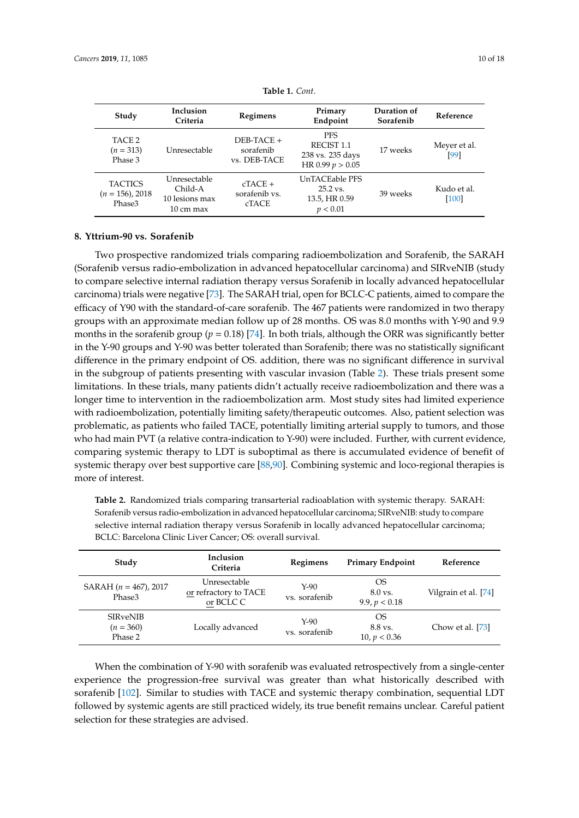<span id="page-9-0"></span>

| Study                                          | <b>Inclusion</b><br>Criteria                                     | Regimens                                   | Primary<br>Endpoint                                                           | Duration of<br>Sorafenib | Reference            |
|------------------------------------------------|------------------------------------------------------------------|--------------------------------------------|-------------------------------------------------------------------------------|--------------------------|----------------------|
| TACE 2<br>$(n = 313)$<br>Phase 3               | Unresectable                                                     | $DEB-TACE +$<br>sorafenib<br>vs. DEB-TACE  | <b>PFS</b><br>RECIST <sub>1.1</sub><br>238 vs. 235 days<br>HR 0.99 $p > 0.05$ | 17 weeks                 | Meyer et al.<br>[99] |
| <b>TACTICS</b><br>$(n = 156)$ , 2018<br>Phase3 | Unresectable<br>Child-A<br>10 lesions max<br>$10 \text{ cm}$ max | $cTACE +$<br>sorafenib vs.<br><b>cTACE</b> | <b>UnTACEable PFS</b><br>$25.2$ vs.<br>13.5, HR 0.59<br>p < 0.01              | 39 weeks                 | Kudo et al.<br>[100] |

| <b>Table 1.</b> Cont. |  |
|-----------------------|--|
|-----------------------|--|

### **8. Yttrium-90 vs. Sorafenib**

Two prospective randomized trials comparing radioembolization and Sorafenib, the SARAH (Sorafenib versus radio-embolization in advanced hepatocellular carcinoma) and SIRveNIB (study to compare selective internal radiation therapy versus Sorafenib in locally advanced hepatocellular carcinoma) trials were negative [\[73\]](#page-15-13). The SARAH trial, open for BCLC-C patients, aimed to compare the efficacy of Y90 with the standard-of-care sorafenib. The 467 patients were randomized in two therapy groups with an approximate median follow up of 28 months. OS was 8.0 months with Y-90 and 9.9 months in the sorafenib group ( $p = 0.18$ ) [\[74\]](#page-15-14). In both trials, although the ORR was significantly better in the Y-90 groups and Y-90 was better tolerated than Sorafenib; there was no statistically significant difference in the primary endpoint of OS. addition, there was no significant difference in survival in the subgroup of patients presenting with vascular invasion (Table [2\)](#page-9-1). These trials present some limitations. In these trials, many patients didn't actually receive radioembolization and there was a longer time to intervention in the radioembolization arm. Most study sites had limited experience with radioembolization, potentially limiting safety/therapeutic outcomes. Also, patient selection was problematic, as patients who failed TACE, potentially limiting arterial supply to tumors, and those who had main PVT (a relative contra-indication to Y-90) were included. Further, with current evidence, comparing systemic therapy to LDT is suboptimal as there is accumulated evidence of benefit of systemic therapy over best supportive care [\[88](#page-16-11)[,90\]](#page-16-13). Combining systemic and loco-regional therapies is more of interest.

<span id="page-9-1"></span>**Table 2.** Randomized trials comparing transarterial radioablation with systemic therapy. SARAH: Sorafenib versus radio-embolization in advanced hepatocellular carcinoma; SIRveNIB: study to compare selective internal radiation therapy versus Sorafenib in locally advanced hepatocellular carcinoma; BCLC: Barcelona Clinic Liver Cancer; OS: overall survival.

| Study                                     | Inclusion<br>Criteria                              | Regimens                | <b>Primary Endpoint</b>          | Reference            |
|-------------------------------------------|----------------------------------------------------|-------------------------|----------------------------------|----------------------|
| SARAH $(n = 467)$ , 2017<br>Phase3        | Unresectable<br>or refractory to TACE<br>or BCLC C | $Y-90$<br>vs. sorafenib | OS<br>8.0 vs.<br>9.9, $p < 0.18$ | Vilgrain et al. [74] |
| <b>SIRveNIB</b><br>$(n = 360)$<br>Phase 2 | Locally advanced                                   | $Y-90$<br>vs. sorafenib | OS.<br>8.8 vs.<br>10, $p < 0.36$ | Chow et al. [73]     |

When the combination of Y-90 with sorafenib was evaluated retrospectively from a single-center experience the progression-free survival was greater than what historically described with sorafenib [\[102\]](#page-17-9). Similar to studies with TACE and systemic therapy combination, sequential LDT followed by systemic agents are still practiced widely, its true benefit remains unclear. Careful patient selection for these strategies are advised.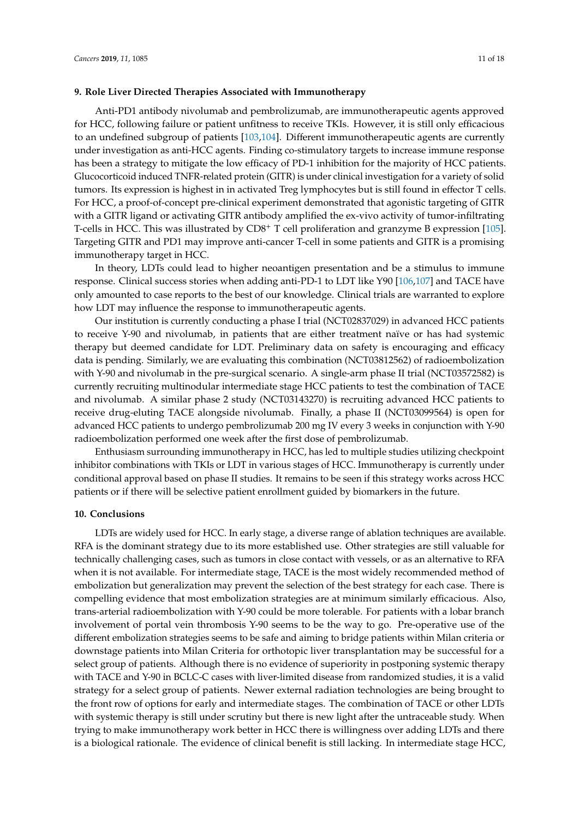# **9. Role Liver Directed Therapies Associated with Immunotherapy**

Anti-PD1 antibody nivolumab and pembrolizumab, are immunotherapeutic agents approved for HCC, following failure or patient unfitness to receive TKIs. However, it is still only efficacious to an undefined subgroup of patients [\[103](#page-17-10)[,104\]](#page-17-11). Different immunotherapeutic agents are currently under investigation as anti-HCC agents. Finding co-stimulatory targets to increase immune response has been a strategy to mitigate the low efficacy of PD-1 inhibition for the majority of HCC patients. Glucocorticoid induced TNFR-related protein (GITR) is under clinical investigation for a variety of solid tumors. Its expression is highest in in activated Treg lymphocytes but is still found in effector T cells. For HCC, a proof-of-concept pre-clinical experiment demonstrated that agonistic targeting of GITR with a GITR ligand or activating GITR antibody amplified the ex-vivo activity of tumor-infiltrating T-cells in HCC. This was illustrated by CD8<sup>+</sup> T cell proliferation and granzyme B expression [\[105\]](#page-17-12). Targeting GITR and PD1 may improve anti-cancer T-cell in some patients and GITR is a promising immunotherapy target in HCC.

In theory, LDTs could lead to higher neoantigen presentation and be a stimulus to immune response. Clinical success stories when adding anti-PD-1 to LDT like Y90 [\[106](#page-17-13)[,107\]](#page-17-14) and TACE have only amounted to case reports to the best of our knowledge. Clinical trials are warranted to explore how LDT may influence the response to immunotherapeutic agents.

Our institution is currently conducting a phase I trial (NCT02837029) in advanced HCC patients to receive Y-90 and nivolumab, in patients that are either treatment naïve or has had systemic therapy but deemed candidate for LDT. Preliminary data on safety is encouraging and efficacy data is pending. Similarly, we are evaluating this combination (NCT03812562) of radioembolization with Y-90 and nivolumab in the pre-surgical scenario. A single-arm phase II trial (NCT03572582) is currently recruiting multinodular intermediate stage HCC patients to test the combination of TACE and nivolumab. A similar phase 2 study (NCT03143270) is recruiting advanced HCC patients to receive drug-eluting TACE alongside nivolumab. Finally, a phase II (NCT03099564) is open for advanced HCC patients to undergo pembrolizumab 200 mg IV every 3 weeks in conjunction with Y-90 radioembolization performed one week after the first dose of pembrolizumab.

Enthusiasm surrounding immunotherapy in HCC, has led to multiple studies utilizing checkpoint inhibitor combinations with TKIs or LDT in various stages of HCC. Immunotherapy is currently under conditional approval based on phase II studies. It remains to be seen if this strategy works across HCC patients or if there will be selective patient enrollment guided by biomarkers in the future.

## **10. Conclusions**

LDTs are widely used for HCC. In early stage, a diverse range of ablation techniques are available. RFA is the dominant strategy due to its more established use. Other strategies are still valuable for technically challenging cases, such as tumors in close contact with vessels, or as an alternative to RFA when it is not available. For intermediate stage, TACE is the most widely recommended method of embolization but generalization may prevent the selection of the best strategy for each case. There is compelling evidence that most embolization strategies are at minimum similarly efficacious. Also, trans-arterial radioembolization with Y-90 could be more tolerable. For patients with a lobar branch involvement of portal vein thrombosis Y-90 seems to be the way to go. Pre-operative use of the different embolization strategies seems to be safe and aiming to bridge patients within Milan criteria or downstage patients into Milan Criteria for orthotopic liver transplantation may be successful for a select group of patients. Although there is no evidence of superiority in postponing systemic therapy with TACE and Y-90 in BCLC-C cases with liver-limited disease from randomized studies, it is a valid strategy for a select group of patients. Newer external radiation technologies are being brought to the front row of options for early and intermediate stages. The combination of TACE or other LDTs with systemic therapy is still under scrutiny but there is new light after the untraceable study. When trying to make immunotherapy work better in HCC there is willingness over adding LDTs and there is a biological rationale. The evidence of clinical benefit is still lacking. In intermediate stage HCC,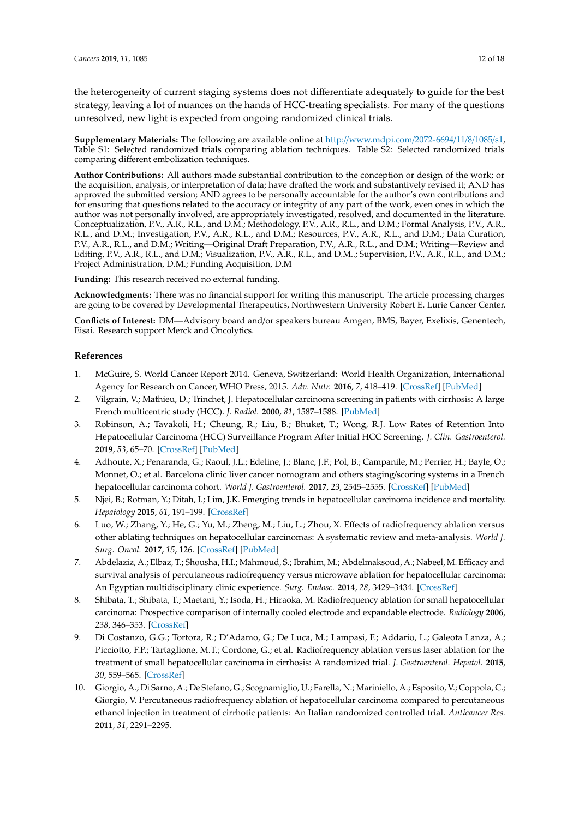the heterogeneity of current staging systems does not differentiate adequately to guide for the best strategy, leaving a lot of nuances on the hands of HCC-treating specialists. For many of the questions unresolved, new light is expected from ongoing randomized clinical trials.

**Supplementary Materials:** The following are available online at http://[www.mdpi.com](http://www.mdpi.com/2072-6694/11/8/1085/s1)/2072-6694/11/8/1085/s1, Table S1: Selected randomized trials comparing ablation techniques. Table S2: Selected randomized trials comparing different embolization techniques.

**Author Contributions:** All authors made substantial contribution to the conception or design of the work; or the acquisition, analysis, or interpretation of data; have drafted the work and substantively revised it; AND has approved the submitted version; AND agrees to be personally accountable for the author's own contributions and for ensuring that questions related to the accuracy or integrity of any part of the work, even ones in which the author was not personally involved, are appropriately investigated, resolved, and documented in the literature. Conceptualization, P.V., A.R., R.L., and D.M.; Methodology, P.V., A.R., R.L., and D.M.; Formal Analysis, P.V., A.R., R.L., and D.M.; Investigation, P.V., A.R., R.L., and D.M.; Resources, P.V., A.R., R.L., and D.M.; Data Curation, P.V., A.R., R.L., and D.M.; Writing—Original Draft Preparation, P.V., A.R., R.L., and D.M.; Writing—Review and Editing, P.V., A.R., R.L., and D.M.; Visualization, P.V., A.R., R.L., and D.M..; Supervision, P.V., A.R., R.L., and D.M.; Project Administration, D.M.; Funding Acquisition, D.M

**Funding:** This research received no external funding.

**Acknowledgments:** There was no financial support for writing this manuscript. The article processing charges are going to be covered by Developmental Therapeutics, Northwestern University Robert E. Lurie Cancer Center.

**Conflicts of Interest:** DM—Advisory board and/or speakers bureau Amgen, BMS, Bayer, Exelixis, Genentech, Eisai. Research support Merck and Oncolytics.

# **References**

- <span id="page-11-0"></span>1. McGuire, S. World Cancer Report 2014. Geneva, Switzerland: World Health Organization, International Agency for Research on Cancer, WHO Press, 2015. *Adv. Nutr.* **2016**, *7*, 418–419. [\[CrossRef\]](http://dx.doi.org/10.3945/an.116.012211) [\[PubMed\]](http://www.ncbi.nlm.nih.gov/pubmed/26980827)
- <span id="page-11-1"></span>2. Vilgrain, V.; Mathieu, D.; Trinchet, J. Hepatocellular carcinoma screening in patients with cirrhosis: A large French multicentric study (HCC). *J. Radiol.* **2000**, *81*, 1587–1588. [\[PubMed\]](http://www.ncbi.nlm.nih.gov/pubmed/11104973)
- <span id="page-11-2"></span>3. Robinson, A.; Tavakoli, H.; Cheung, R.; Liu, B.; Bhuket, T.; Wong, R.J. Low Rates of Retention Into Hepatocellular Carcinoma (HCC) Surveillance Program After Initial HCC Screening. *J. Clin. Gastroenterol.* **2019**, *53*, 65–70. [\[CrossRef\]](http://dx.doi.org/10.1097/MCG.0000000000001024) [\[PubMed\]](http://www.ncbi.nlm.nih.gov/pubmed/29629906)
- <span id="page-11-3"></span>4. Adhoute, X.; Penaranda, G.; Raoul, J.L.; Edeline, J.; Blanc, J.F.; Pol, B.; Campanile, M.; Perrier, H.; Bayle, O.; Monnet, O.; et al. Barcelona clinic liver cancer nomogram and others staging/scoring systems in a French hepatocellular carcinoma cohort. *World J. Gastroenterol.* **2017**, *23*, 2545–2555. [\[CrossRef\]](http://dx.doi.org/10.3748/wjg.v23.i14.2545) [\[PubMed\]](http://www.ncbi.nlm.nih.gov/pubmed/28465639)
- <span id="page-11-4"></span>5. Njei, B.; Rotman, Y.; Ditah, I.; Lim, J.K. Emerging trends in hepatocellular carcinoma incidence and mortality. *Hepatology* **2015**, *61*, 191–199. [\[CrossRef\]](http://dx.doi.org/10.1002/hep.27388)
- <span id="page-11-5"></span>6. Luo, W.; Zhang, Y.; He, G.; Yu, M.; Zheng, M.; Liu, L.; Zhou, X. Effects of radiofrequency ablation versus other ablating techniques on hepatocellular carcinomas: A systematic review and meta-analysis. *World J. Surg. Oncol.* **2017**, *15*, 126. [\[CrossRef\]](http://dx.doi.org/10.1186/s12957-017-1196-2) [\[PubMed\]](http://www.ncbi.nlm.nih.gov/pubmed/28693505)
- <span id="page-11-7"></span>7. Abdelaziz, A.; Elbaz, T.; Shousha, H.I.; Mahmoud, S.; Ibrahim, M.; Abdelmaksoud, A.; Nabeel, M. Efficacy and survival analysis of percutaneous radiofrequency versus microwave ablation for hepatocellular carcinoma: An Egyptian multidisciplinary clinic experience. *Surg. Endosc.* **2014**, *28*, 3429–3434. [\[CrossRef\]](http://dx.doi.org/10.1007/s00464-014-3617-4)
- 8. Shibata, T.; Shibata, T.; Maetani, Y.; Isoda, H.; Hiraoka, M. Radiofrequency ablation for small hepatocellular carcinoma: Prospective comparison of internally cooled electrode and expandable electrode. *Radiology* **2006**, *238*, 346–353. [\[CrossRef\]](http://dx.doi.org/10.1148/radiol.2381041848)
- <span id="page-11-6"></span>9. Di Costanzo, G.G.; Tortora, R.; D'Adamo, G.; De Luca, M.; Lampasi, F.; Addario, L.; Galeota Lanza, A.; Picciotto, F.P.; Tartaglione, M.T.; Cordone, G.; et al. Radiofrequency ablation versus laser ablation for the treatment of small hepatocellular carcinoma in cirrhosis: A randomized trial. *J. Gastroenterol. Hepatol.* **2015**, *30*, 559–565. [\[CrossRef\]](http://dx.doi.org/10.1111/jgh.12791)
- <span id="page-11-8"></span>10. Giorgio, A.; Di Sarno, A.; De Stefano, G.; Scognamiglio, U.; Farella, N.; Mariniello, A.; Esposito, V.; Coppola, C.; Giorgio, V. Percutaneous radiofrequency ablation of hepatocellular carcinoma compared to percutaneous ethanol injection in treatment of cirrhotic patients: An Italian randomized controlled trial. *Anticancer Res.* **2011**, *31*, 2291–2295.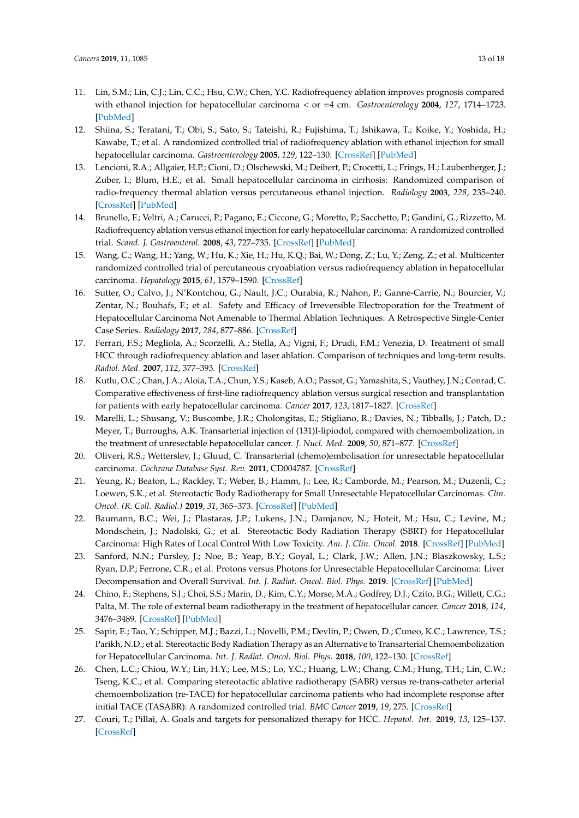- 11. Lin, S.M.; Lin, C.J.; Lin, C.C.; Hsu, C.W.; Chen, Y.C. Radiofrequency ablation improves prognosis compared with ethanol injection for hepatocellular carcinoma < or =4 cm. *Gastroenterology* **2004**, *127*, 1714–1723. [\[PubMed\]](http://www.ncbi.nlm.nih.gov/pubmed/15578509)
- 12. Shiina, S.; Teratani, T.; Obi, S.; Sato, S.; Tateishi, R.; Fujishima, T.; Ishikawa, T.; Koike, Y.; Yoshida, H.; Kawabe, T.; et al. A randomized controlled trial of radiofrequency ablation with ethanol injection for small hepatocellular carcinoma. *Gastroenterology* **2005**, *129*, 122–130. [\[CrossRef\]](http://dx.doi.org/10.1053/j.gastro.2005.04.009) [\[PubMed\]](http://www.ncbi.nlm.nih.gov/pubmed/16012942)
- <span id="page-12-0"></span>13. Lencioni, R.A.; Allgaier, H.P.; Cioni, D.; Olschewski, M.; Deibert, P.; Crocetti, L.; Frings, H.; Laubenberger, J.; Zuber, I.; Blum, H.E.; et al. Small hepatocellular carcinoma in cirrhosis: Randomized comparison of radio-frequency thermal ablation versus percutaneous ethanol injection. *Radiology* **2003**, *228*, 235–240. [\[CrossRef\]](http://dx.doi.org/10.1148/radiol.2281020718) [\[PubMed\]](http://www.ncbi.nlm.nih.gov/pubmed/12759473)
- <span id="page-12-1"></span>14. Brunello, F.; Veltri, A.; Carucci, P.; Pagano, E.; Ciccone, G.; Moretto, P.; Sacchetto, P.; Gandini, G.; Rizzetto, M. Radiofrequency ablation versus ethanol injection for early hepatocellular carcinoma: A randomized controlled trial. *Scand. J. Gastroenterol.* **2008**, *43*, 727–735. [\[CrossRef\]](http://dx.doi.org/10.1080/00365520701885481) [\[PubMed\]](http://www.ncbi.nlm.nih.gov/pubmed/18569991)
- <span id="page-12-2"></span>15. Wang, C.; Wang, H.; Yang, W.; Hu, K.; Xie, H.; Hu, K.Q.; Bai, W.; Dong, Z.; Lu, Y.; Zeng, Z.; et al. Multicenter randomized controlled trial of percutaneous cryoablation versus radiofrequency ablation in hepatocellular carcinoma. *Hepatology* **2015**, *61*, 1579–1590. [\[CrossRef\]](http://dx.doi.org/10.1002/hep.27548)
- <span id="page-12-3"></span>16. Sutter, O.; Calvo, J.; N'Kontchou, G.; Nault, J.C.; Ourabia, R.; Nahon, P.; Ganne-Carrie, N.; Bourcier, V.; Zentar, N.; Bouhafs, F.; et al. Safety and Efficacy of Irreversible Electroporation for the Treatment of Hepatocellular Carcinoma Not Amenable to Thermal Ablation Techniques: A Retrospective Single-Center Case Series. *Radiology* **2017**, *284*, 877–886. [\[CrossRef\]](http://dx.doi.org/10.1148/radiol.2017161413)
- <span id="page-12-4"></span>17. Ferrari, F.S.; Megliola, A.; Scorzelli, A.; Stella, A.; Vigni, F.; Drudi, F.M.; Venezia, D. Treatment of small HCC through radiofrequency ablation and laser ablation. Comparison of techniques and long-term results. *Radiol. Med.* **2007**, *112*, 377–393. [\[CrossRef\]](http://dx.doi.org/10.1007/s11547-007-0148-2)
- <span id="page-12-5"></span>18. Kutlu, O.C.; Chan, J.A.; Aloia, T.A.; Chun, Y.S.; Kaseb, A.O.; Passot, G.; Yamashita, S.; Vauthey, J.N.; Conrad, C. Comparative effectiveness of first-line radiofrequency ablation versus surgical resection and transplantation for patients with early hepatocellular carcinoma. *Cancer* **2017**, *123*, 1817–1827. [\[CrossRef\]](http://dx.doi.org/10.1002/cncr.30531)
- <span id="page-12-6"></span>19. Marelli, L.; Shusang, V.; Buscombe, J.R.; Cholongitas, E.; Stigliano, R.; Davies, N.; Tibballs, J.; Patch, D.; Meyer, T.; Burroughs, A.K. Transarterial injection of (131)I-lipiodol, compared with chemoembolization, in the treatment of unresectable hepatocellular cancer. *J. Nucl. Med.* **2009**, *50*, 871–877. [\[CrossRef\]](http://dx.doi.org/10.2967/jnumed.108.060558)
- <span id="page-12-7"></span>20. Oliveri, R.S.; Wetterslev, J.; Gluud, C. Transarterial (chemo)embolisation for unresectable hepatocellular carcinoma. *Cochrane Database Syst. Rev.* **2011**, CD004787. [\[CrossRef\]](http://dx.doi.org/10.1002/14651858.CD004787.pub2)
- <span id="page-12-8"></span>21. Yeung, R.; Beaton, L.; Rackley, T.; Weber, B.; Hamm, J.; Lee, R.; Camborde, M.; Pearson, M.; Duzenli, C.; Loewen, S.K.; et al. Stereotactic Body Radiotherapy for Small Unresectable Hepatocellular Carcinomas. *Clin. Oncol. (R. Coll. Radiol.)* **2019**, *31*, 365–373. [\[CrossRef\]](http://dx.doi.org/10.1016/j.clon.2019.01.012) [\[PubMed\]](http://www.ncbi.nlm.nih.gov/pubmed/30792051)
- <span id="page-12-9"></span>22. Baumann, B.C.; Wei, J.; Plastaras, J.P.; Lukens, J.N.; Damjanov, N.; Hoteit, M.; Hsu, C.; Levine, M.; Mondschein, J.; Nadolski, G.; et al. Stereotactic Body Radiation Therapy (SBRT) for Hepatocellular Carcinoma: High Rates of Local Control With Low Toxicity. *Am. J. Clin. Oncol.* **2018**. [\[CrossRef\]](http://dx.doi.org/10.1097/COC.0000000000000435) [\[PubMed\]](http://www.ncbi.nlm.nih.gov/pubmed/29553972)
- <span id="page-12-10"></span>23. Sanford, N.N.; Pursley, J.; Noe, B.; Yeap, B.Y.; Goyal, L.; Clark, J.W.; Allen, J.N.; Blaszkowsky, L.S.; Ryan, D.P.; Ferrone, C.R.; et al. Protons versus Photons for Unresectable Hepatocellular Carcinoma: Liver Decompensation and Overall Survival. *Int. J. Radiat. Oncol. Biol. Phys.* **2019**. [\[CrossRef\]](http://dx.doi.org/10.1016/j.ijrobp.2019.01.076) [\[PubMed\]](http://www.ncbi.nlm.nih.gov/pubmed/30684667)
- <span id="page-12-11"></span>24. Chino, F.; Stephens, S.J.; Choi, S.S.; Marin, D.; Kim, C.Y.; Morse, M.A.; Godfrey, D.J.; Czito, B.G.; Willett, C.G.; Palta, M. The role of external beam radiotherapy in the treatment of hepatocellular cancer. *Cancer* **2018**, *124*, 3476–3489. [\[CrossRef\]](http://dx.doi.org/10.1002/cncr.31334) [\[PubMed\]](http://www.ncbi.nlm.nih.gov/pubmed/29645076)
- <span id="page-12-12"></span>25. Sapir, E.; Tao, Y.; Schipper, M.J.; Bazzi, L.; Novelli, P.M.; Devlin, P.; Owen, D.; Cuneo, K.C.; Lawrence, T.S.; Parikh, N.D.; et al. Stereotactic Body Radiation Therapy as an Alternative to Transarterial Chemoembolization for Hepatocellular Carcinoma. *Int. J. Radiat. Oncol. Biol. Phys.* **2018**, *100*, 122–130. [\[CrossRef\]](http://dx.doi.org/10.1016/j.ijrobp.2017.09.001)
- <span id="page-12-13"></span>26. Chen, L.C.; Chiou, W.Y.; Lin, H.Y.; Lee, M.S.; Lo, Y.C.; Huang, L.W.; Chang, C.M.; Hung, T.H.; Lin, C.W.; Tseng, K.C.; et al. Comparing stereotactic ablative radiotherapy (SABR) versus re-trans-catheter arterial chemoembolization (re-TACE) for hepatocellular carcinoma patients who had incomplete response after initial TACE (TASABR): A randomized controlled trial. *BMC Cancer* **2019**, *19*, 275. [\[CrossRef\]](http://dx.doi.org/10.1186/s12885-019-5461-3)
- <span id="page-12-14"></span>27. Couri, T.; Pillai, A. Goals and targets for personalized therapy for HCC. *Hepatol. Int.* **2019**, *13*, 125–137. [\[CrossRef\]](http://dx.doi.org/10.1007/s12072-018-9919-1)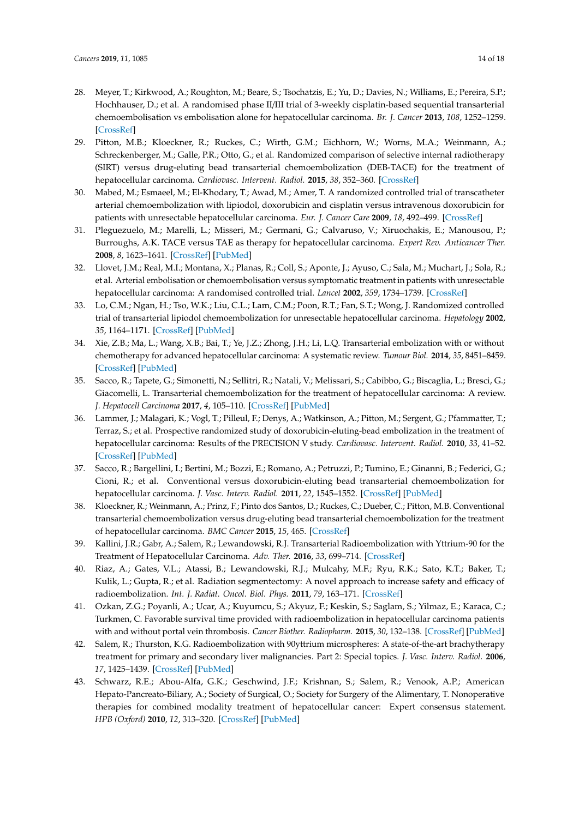- <span id="page-13-0"></span>28. Meyer, T.; Kirkwood, A.; Roughton, M.; Beare, S.; Tsochatzis, E.; Yu, D.; Davies, N.; Williams, E.; Pereira, S.P.; Hochhauser, D.; et al. A randomised phase II/III trial of 3-weekly cisplatin-based sequential transarterial chemoembolisation vs embolisation alone for hepatocellular carcinoma. *Br. J. Cancer* **2013**, *108*, 1252–1259. [\[CrossRef\]](http://dx.doi.org/10.1038/bjc.2013.85)
- <span id="page-13-1"></span>29. Pitton, M.B.; Kloeckner, R.; Ruckes, C.; Wirth, G.M.; Eichhorn, W.; Worns, M.A.; Weinmann, A.; Schreckenberger, M.; Galle, P.R.; Otto, G.; et al. Randomized comparison of selective internal radiotherapy (SIRT) versus drug-eluting bead transarterial chemoembolization (DEB-TACE) for the treatment of hepatocellular carcinoma. *Cardiovasc. Intervent. Radiol.* **2015**, *38*, 352–360. [\[CrossRef\]](http://dx.doi.org/10.1007/s00270-014-1012-0)
- <span id="page-13-2"></span>30. Mabed, M.; Esmaeel, M.; El-Khodary, T.; Awad, M.; Amer, T. A randomized controlled trial of transcatheter arterial chemoembolization with lipiodol, doxorubicin and cisplatin versus intravenous doxorubicin for patients with unresectable hepatocellular carcinoma. *Eur. J. Cancer Care* **2009**, *18*, 492–499. [\[CrossRef\]](http://dx.doi.org/10.1111/j.1365-2354.2008.00984.x)
- <span id="page-13-3"></span>31. Pleguezuelo, M.; Marelli, L.; Misseri, M.; Germani, G.; Calvaruso, V.; Xiruochakis, E.; Manousou, P.; Burroughs, A.K. TACE versus TAE as therapy for hepatocellular carcinoma. *Expert Rev. Anticancer Ther.* **2008**, *8*, 1623–1641. [\[CrossRef\]](http://dx.doi.org/10.1586/14737140.8.10.1623) [\[PubMed\]](http://www.ncbi.nlm.nih.gov/pubmed/18925854)
- <span id="page-13-4"></span>32. Llovet, J.M.; Real, M.I.; Montana, X.; Planas, R.; Coll, S.; Aponte, J.; Ayuso, C.; Sala, M.; Muchart, J.; Sola, R.; et al. Arterial embolisation or chemoembolisation versus symptomatic treatment in patients with unresectable hepatocellular carcinoma: A randomised controlled trial. *Lancet* **2002**, *359*, 1734–1739. [\[CrossRef\]](http://dx.doi.org/10.1016/S0140-6736(02)08649-X)
- <span id="page-13-5"></span>33. Lo, C.M.; Ngan, H.; Tso, W.K.; Liu, C.L.; Lam, C.M.; Poon, R.T.; Fan, S.T.; Wong, J. Randomized controlled trial of transarterial lipiodol chemoembolization for unresectable hepatocellular carcinoma. *Hepatology* **2002**, *35*, 1164–1171. [\[CrossRef\]](http://dx.doi.org/10.1053/jhep.2002.33156) [\[PubMed\]](http://www.ncbi.nlm.nih.gov/pubmed/11981766)
- <span id="page-13-6"></span>34. Xie, Z.B.; Ma, L.; Wang, X.B.; Bai, T.; Ye, J.Z.; Zhong, J.H.; Li, L.Q. Transarterial embolization with or without chemotherapy for advanced hepatocellular carcinoma: A systematic review. *Tumour Biol.* **2014**, *35*, 8451–8459. [\[CrossRef\]](http://dx.doi.org/10.1007/s13277-014-2340-z) [\[PubMed\]](http://www.ncbi.nlm.nih.gov/pubmed/25038916)
- <span id="page-13-7"></span>35. Sacco, R.; Tapete, G.; Simonetti, N.; Sellitri, R.; Natali, V.; Melissari, S.; Cabibbo, G.; Biscaglia, L.; Bresci, G.; Giacomelli, L. Transarterial chemoembolization for the treatment of hepatocellular carcinoma: A review. *J. Hepatocell Carcinoma* **2017**, *4*, 105–110. [\[CrossRef\]](http://dx.doi.org/10.2147/JHC.S103661) [\[PubMed\]](http://www.ncbi.nlm.nih.gov/pubmed/28795053)
- 36. Lammer, J.; Malagari, K.; Vogl, T.; Pilleul, F.; Denys, A.; Watkinson, A.; Pitton, M.; Sergent, G.; Pfammatter, T.; Terraz, S.; et al. Prospective randomized study of doxorubicin-eluting-bead embolization in the treatment of hepatocellular carcinoma: Results of the PRECISION V study. *Cardiovasc. Intervent. Radiol.* **2010**, *33*, 41–52. [\[CrossRef\]](http://dx.doi.org/10.1007/s00270-009-9711-7) [\[PubMed\]](http://www.ncbi.nlm.nih.gov/pubmed/19908093)
- <span id="page-13-8"></span>37. Sacco, R.; Bargellini, I.; Bertini, M.; Bozzi, E.; Romano, A.; Petruzzi, P.; Tumino, E.; Ginanni, B.; Federici, G.; Cioni, R.; et al. Conventional versus doxorubicin-eluting bead transarterial chemoembolization for hepatocellular carcinoma. *J. Vasc. Interv. Radiol.* **2011**, *22*, 1545–1552. [\[CrossRef\]](http://dx.doi.org/10.1016/j.jvir.2011.07.002) [\[PubMed\]](http://www.ncbi.nlm.nih.gov/pubmed/21849247)
- <span id="page-13-9"></span>38. Kloeckner, R.; Weinmann, A.; Prinz, F.; Pinto dos Santos, D.; Ruckes, C.; Dueber, C.; Pitton, M.B. Conventional transarterial chemoembolization versus drug-eluting bead transarterial chemoembolization for the treatment of hepatocellular carcinoma. *BMC Cancer* **2015**, *15*, 465. [\[CrossRef\]](http://dx.doi.org/10.1186/s12885-015-1480-x)
- <span id="page-13-10"></span>39. Kallini, J.R.; Gabr, A.; Salem, R.; Lewandowski, R.J. Transarterial Radioembolization with Yttrium-90 for the Treatment of Hepatocellular Carcinoma. *Adv. Ther.* **2016**, *33*, 699–714. [\[CrossRef\]](http://dx.doi.org/10.1007/s12325-016-0324-7)
- <span id="page-13-11"></span>40. Riaz, A.; Gates, V.L.; Atassi, B.; Lewandowski, R.J.; Mulcahy, M.F.; Ryu, R.K.; Sato, K.T.; Baker, T.; Kulik, L.; Gupta, R.; et al. Radiation segmentectomy: A novel approach to increase safety and efficacy of radioembolization. *Int. J. Radiat. Oncol. Biol. Phys.* **2011**, *79*, 163–171. [\[CrossRef\]](http://dx.doi.org/10.1016/j.ijrobp.2009.10.062)
- <span id="page-13-12"></span>41. Ozkan, Z.G.; Poyanli, A.; Ucar, A.; Kuyumcu, S.; Akyuz, F.; Keskin, S.; Saglam, S.; Yilmaz, E.; Karaca, C.; Turkmen, C. Favorable survival time provided with radioembolization in hepatocellular carcinoma patients with and without portal vein thrombosis. *Cancer Biother. Radiopharm.* **2015**, *30*, 132–138. [\[CrossRef\]](http://dx.doi.org/10.1089/cbr.2014.1748) [\[PubMed\]](http://www.ncbi.nlm.nih.gov/pubmed/25760644)
- <span id="page-13-13"></span>42. Salem, R.; Thurston, K.G. Radioembolization with 90yttrium microspheres: A state-of-the-art brachytherapy treatment for primary and secondary liver malignancies. Part 2: Special topics. *J. Vasc. Interv. Radiol.* **2006**, *17*, 1425–1439. [\[CrossRef\]](http://dx.doi.org/10.1097/01.RVI.0000235779.88652.53) [\[PubMed\]](http://www.ncbi.nlm.nih.gov/pubmed/16990462)
- <span id="page-13-14"></span>43. Schwarz, R.E.; Abou-Alfa, G.K.; Geschwind, J.F.; Krishnan, S.; Salem, R.; Venook, A.P.; American Hepato-Pancreato-Biliary, A.; Society of Surgical, O.; Society for Surgery of the Alimentary, T. Nonoperative therapies for combined modality treatment of hepatocellular cancer: Expert consensus statement. *HPB (Oxford)* **2010**, *12*, 313–320. [\[CrossRef\]](http://dx.doi.org/10.1111/j.1477-2574.2010.00183.x) [\[PubMed\]](http://www.ncbi.nlm.nih.gov/pubmed/20590905)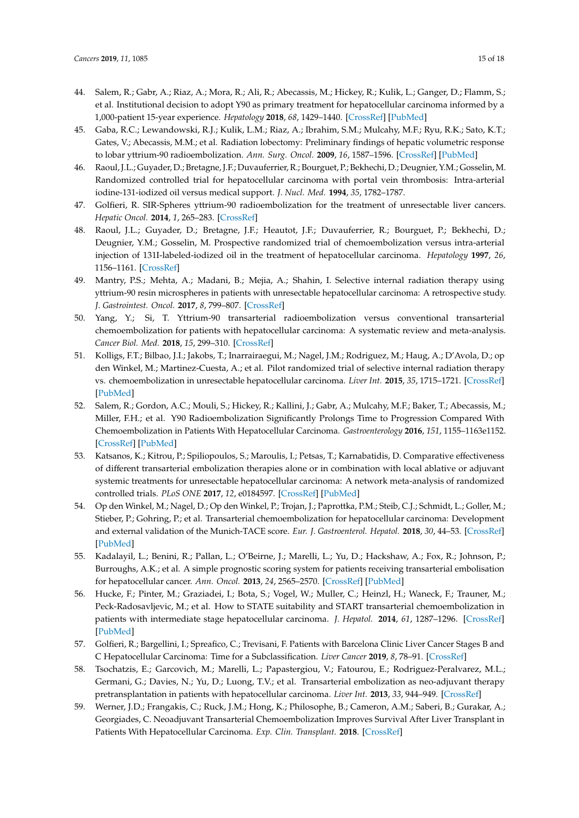- <span id="page-14-0"></span>44. Salem, R.; Gabr, A.; Riaz, A.; Mora, R.; Ali, R.; Abecassis, M.; Hickey, R.; Kulik, L.; Ganger, D.; Flamm, S.; et al. Institutional decision to adopt Y90 as primary treatment for hepatocellular carcinoma informed by a 1,000-patient 15-year experience. *Hepatology* **2018**, *68*, 1429–1440. [\[CrossRef\]](http://dx.doi.org/10.1002/hep.29691) [\[PubMed\]](http://www.ncbi.nlm.nih.gov/pubmed/29194711)
- <span id="page-14-1"></span>45. Gaba, R.C.; Lewandowski, R.J.; Kulik, L.M.; Riaz, A.; Ibrahim, S.M.; Mulcahy, M.F.; Ryu, R.K.; Sato, K.T.; Gates, V.; Abecassis, M.M.; et al. Radiation lobectomy: Preliminary findings of hepatic volumetric response to lobar yttrium-90 radioembolization. *Ann. Surg. Oncol.* **2009**, *16*, 1587–1596. [\[CrossRef\]](http://dx.doi.org/10.1245/s10434-009-0454-0) [\[PubMed\]](http://www.ncbi.nlm.nih.gov/pubmed/19357924)
- <span id="page-14-2"></span>46. Raoul, J.L.; Guyader, D.; Bretagne, J.F.; Duvauferrier, R.; Bourguet, P.; Bekhechi, D.; Deugnier, Y.M.; Gosselin, M. Randomized controlled trial for hepatocellular carcinoma with portal vein thrombosis: Intra-arterial iodine-131-iodized oil versus medical support. *J. Nucl. Med.* **1994**, *35*, 1782–1787.
- <span id="page-14-3"></span>47. Golfieri, R. SIR-Spheres yttrium-90 radioembolization for the treatment of unresectable liver cancers. *Hepatic Oncol.* **2014**, *1*, 265–283. [\[CrossRef\]](http://dx.doi.org/10.2217/hep.14.6)
- 48. Raoul, J.L.; Guyader, D.; Bretagne, J.F.; Heautot, J.F.; Duvauferrier, R.; Bourguet, P.; Bekhechi, D.; Deugnier, Y.M.; Gosselin, M. Prospective randomized trial of chemoembolization versus intra-arterial injection of 131I-labeled-iodized oil in the treatment of hepatocellular carcinoma. *Hepatology* **1997**, *26*, 1156–1161. [\[CrossRef\]](http://dx.doi.org/10.1053/jhep.1997.v26.pm0009362356)
- <span id="page-14-4"></span>49. Mantry, P.S.; Mehta, A.; Madani, B.; Mejia, A.; Shahin, I. Selective internal radiation therapy using yttrium-90 resin microspheres in patients with unresectable hepatocellular carcinoma: A retrospective study. *J. Gastrointest. Oncol.* **2017**, *8*, 799–807. [\[CrossRef\]](http://dx.doi.org/10.21037/jgo.2017.08.03)
- <span id="page-14-5"></span>50. Yang, Y.; Si, T. Yttrium-90 transarterial radioembolization versus conventional transarterial chemoembolization for patients with hepatocellular carcinoma: A systematic review and meta-analysis. *Cancer Biol. Med.* **2018**, *15*, 299–310. [\[CrossRef\]](http://dx.doi.org/10.20892/j.issn.2095-3941.2017.0177)
- <span id="page-14-6"></span>51. Kolligs, F.T.; Bilbao, J.I.; Jakobs, T.; Inarrairaegui, M.; Nagel, J.M.; Rodriguez, M.; Haug, A.; D'Avola, D.; op den Winkel, M.; Martinez-Cuesta, A.; et al. Pilot randomized trial of selective internal radiation therapy vs. chemoembolization in unresectable hepatocellular carcinoma. *Liver Int.* **2015**, *35*, 1715–1721. [\[CrossRef\]](http://dx.doi.org/10.1111/liv.12750) [\[PubMed\]](http://www.ncbi.nlm.nih.gov/pubmed/25443863)
- <span id="page-14-7"></span>52. Salem, R.; Gordon, A.C.; Mouli, S.; Hickey, R.; Kallini, J.; Gabr, A.; Mulcahy, M.F.; Baker, T.; Abecassis, M.; Miller, F.H.; et al. Y90 Radioembolization Significantly Prolongs Time to Progression Compared With Chemoembolization in Patients With Hepatocellular Carcinoma. *Gastroenterology* **2016**, *151*, 1155–1163e1152. [\[CrossRef\]](http://dx.doi.org/10.1053/j.gastro.2016.08.029) [\[PubMed\]](http://www.ncbi.nlm.nih.gov/pubmed/27575820)
- <span id="page-14-8"></span>53. Katsanos, K.; Kitrou, P.; Spiliopoulos, S.; Maroulis, I.; Petsas, T.; Karnabatidis, D. Comparative effectiveness of different transarterial embolization therapies alone or in combination with local ablative or adjuvant systemic treatments for unresectable hepatocellular carcinoma: A network meta-analysis of randomized controlled trials. *PLoS ONE* **2017**, *12*, e0184597. [\[CrossRef\]](http://dx.doi.org/10.1371/journal.pone.0184597) [\[PubMed\]](http://www.ncbi.nlm.nih.gov/pubmed/28934265)
- <span id="page-14-9"></span>54. Op den Winkel, M.; Nagel, D.; Op den Winkel, P.; Trojan, J.; Paprottka, P.M.; Steib, C.J.; Schmidt, L.; Goller, M.; Stieber, P.; Gohring, P.; et al. Transarterial chemoembolization for hepatocellular carcinoma: Development and external validation of the Munich-TACE score. *Eur. J. Gastroenterol. Hepatol.* **2018**, *30*, 44–53. [\[CrossRef\]](http://dx.doi.org/10.1097/MEG.0000000000001005) [\[PubMed\]](http://www.ncbi.nlm.nih.gov/pubmed/29076939)
- 55. Kadalayil, L.; Benini, R.; Pallan, L.; O'Beirne, J.; Marelli, L.; Yu, D.; Hackshaw, A.; Fox, R.; Johnson, P.; Burroughs, A.K.; et al. A simple prognostic scoring system for patients receiving transarterial embolisation for hepatocellular cancer. *Ann. Oncol.* **2013**, *24*, 2565–2570. [\[CrossRef\]](http://dx.doi.org/10.1093/annonc/mdt247) [\[PubMed\]](http://www.ncbi.nlm.nih.gov/pubmed/23857958)
- <span id="page-14-10"></span>56. Hucke, F.; Pinter, M.; Graziadei, I.; Bota, S.; Vogel, W.; Muller, C.; Heinzl, H.; Waneck, F.; Trauner, M.; Peck-Radosavljevic, M.; et al. How to STATE suitability and START transarterial chemoembolization in patients with intermediate stage hepatocellular carcinoma. *J. Hepatol.* **2014**, *61*, 1287–1296. [\[CrossRef\]](http://dx.doi.org/10.1016/j.jhep.2014.07.002) [\[PubMed\]](http://www.ncbi.nlm.nih.gov/pubmed/25016222)
- <span id="page-14-11"></span>57. Golfieri, R.; Bargellini, I.; Spreafico, C.; Trevisani, F. Patients with Barcelona Clinic Liver Cancer Stages B and C Hepatocellular Carcinoma: Time for a Subclassification. *Liver Cancer* **2019**, *8*, 78–91. [\[CrossRef\]](http://dx.doi.org/10.1159/000489791)
- <span id="page-14-12"></span>58. Tsochatzis, E.; Garcovich, M.; Marelli, L.; Papastergiou, V.; Fatourou, E.; Rodriguez-Peralvarez, M.L.; Germani, G.; Davies, N.; Yu, D.; Luong, T.V.; et al. Transarterial embolization as neo-adjuvant therapy pretransplantation in patients with hepatocellular carcinoma. *Liver Int.* **2013**, *33*, 944–949. [\[CrossRef\]](http://dx.doi.org/10.1111/liv.12144)
- <span id="page-14-13"></span>59. Werner, J.D.; Frangakis, C.; Ruck, J.M.; Hong, K.; Philosophe, B.; Cameron, A.M.; Saberi, B.; Gurakar, A.; Georgiades, C. Neoadjuvant Transarterial Chemoembolization Improves Survival After Liver Transplant in Patients With Hepatocellular Carcinoma. *Exp. Clin. Transplant.* **2018**. [\[CrossRef\]](http://dx.doi.org/10.6002/ect.2018.0017)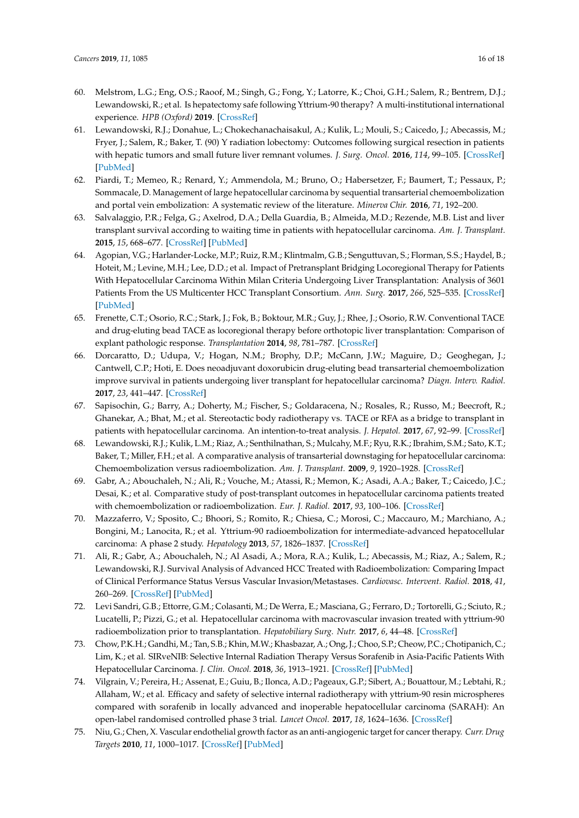- <span id="page-15-0"></span>60. Melstrom, L.G.; Eng, O.S.; Raoof, M.; Singh, G.; Fong, Y.; Latorre, K.; Choi, G.H.; Salem, R.; Bentrem, D.J.; Lewandowski, R.; et al. Is hepatectomy safe following Yttrium-90 therapy? A multi-institutional international experience. *HPB (Oxford)* **2019**. [\[CrossRef\]](http://dx.doi.org/10.1016/j.hpb.2019.03.366)
- <span id="page-15-1"></span>61. Lewandowski, R.J.; Donahue, L.; Chokechanachaisakul, A.; Kulik, L.; Mouli, S.; Caicedo, J.; Abecassis, M.; Fryer, J.; Salem, R.; Baker, T. (90) Y radiation lobectomy: Outcomes following surgical resection in patients with hepatic tumors and small future liver remnant volumes. *J. Surg. Oncol.* **2016**, *114*, 99–105. [\[CrossRef\]](http://dx.doi.org/10.1002/jso.24269) [\[PubMed\]](http://www.ncbi.nlm.nih.gov/pubmed/27103352)
- <span id="page-15-2"></span>62. Piardi, T.; Memeo, R.; Renard, Y.; Ammendola, M.; Bruno, O.; Habersetzer, F.; Baumert, T.; Pessaux, P.; Sommacale, D. Management of large hepatocellular carcinoma by sequential transarterial chemoembolization and portal vein embolization: A systematic review of the literature. *Minerva Chir.* **2016**, *71*, 192–200.
- <span id="page-15-3"></span>63. Salvalaggio, P.R.; Felga, G.; Axelrod, D.A.; Della Guardia, B.; Almeida, M.D.; Rezende, M.B. List and liver transplant survival according to waiting time in patients with hepatocellular carcinoma. *Am. J. Transplant.* **2015**, *15*, 668–677. [\[CrossRef\]](http://dx.doi.org/10.1111/ajt.13011) [\[PubMed\]](http://www.ncbi.nlm.nih.gov/pubmed/25650130)
- <span id="page-15-4"></span>64. Agopian, V.G.; Harlander-Locke, M.P.; Ruiz, R.M.; Klintmalm, G.B.; Senguttuvan, S.; Florman, S.S.; Haydel, B.; Hoteit, M.; Levine, M.H.; Lee, D.D.; et al. Impact of Pretransplant Bridging Locoregional Therapy for Patients With Hepatocellular Carcinoma Within Milan Criteria Undergoing Liver Transplantation: Analysis of 3601 Patients From the US Multicenter HCC Transplant Consortium. *Ann. Surg.* **2017**, *266*, 525–535. [\[CrossRef\]](http://dx.doi.org/10.1097/SLA.0000000000002381) [\[PubMed\]](http://www.ncbi.nlm.nih.gov/pubmed/28654545)
- <span id="page-15-5"></span>65. Frenette, C.T.; Osorio, R.C.; Stark, J.; Fok, B.; Boktour, M.R.; Guy, J.; Rhee, J.; Osorio, R.W. Conventional TACE and drug-eluting bead TACE as locoregional therapy before orthotopic liver transplantation: Comparison of explant pathologic response. *Transplantation* **2014**, *98*, 781–787. [\[CrossRef\]](http://dx.doi.org/10.1097/TP.0000000000000121)
- <span id="page-15-6"></span>66. Dorcaratto, D.; Udupa, V.; Hogan, N.M.; Brophy, D.P.; McCann, J.W.; Maguire, D.; Geoghegan, J.; Cantwell, C.P.; Hoti, E. Does neoadjuvant doxorubicin drug-eluting bead transarterial chemoembolization improve survival in patients undergoing liver transplant for hepatocellular carcinoma? *Diagn. Interv. Radiol.* **2017**, *23*, 441–447. [\[CrossRef\]](http://dx.doi.org/10.5152/dir.2017.17106)
- <span id="page-15-7"></span>67. Sapisochin, G.; Barry, A.; Doherty, M.; Fischer, S.; Goldaracena, N.; Rosales, R.; Russo, M.; Beecroft, R.; Ghanekar, A.; Bhat, M.; et al. Stereotactic body radiotherapy vs. TACE or RFA as a bridge to transplant in patients with hepatocellular carcinoma. An intention-to-treat analysis. *J. Hepatol.* **2017**, *67*, 92–99. [\[CrossRef\]](http://dx.doi.org/10.1016/j.jhep.2017.02.022)
- <span id="page-15-8"></span>68. Lewandowski, R.J.; Kulik, L.M.; Riaz, A.; Senthilnathan, S.; Mulcahy, M.F.; Ryu, R.K.; Ibrahim, S.M.; Sato, K.T.; Baker, T.; Miller, F.H.; et al. A comparative analysis of transarterial downstaging for hepatocellular carcinoma: Chemoembolization versus radioembolization. *Am. J. Transplant.* **2009**, *9*, 1920–1928. [\[CrossRef\]](http://dx.doi.org/10.1111/j.1600-6143.2009.02695.x)
- <span id="page-15-9"></span>69. Gabr, A.; Abouchaleh, N.; Ali, R.; Vouche, M.; Atassi, R.; Memon, K.; Asadi, A.A.; Baker, T.; Caicedo, J.C.; Desai, K.; et al. Comparative study of post-transplant outcomes in hepatocellular carcinoma patients treated with chemoembolization or radioembolization. *Eur. J. Radiol.* **2017**, *93*, 100–106. [\[CrossRef\]](http://dx.doi.org/10.1016/j.ejrad.2017.05.022)
- <span id="page-15-10"></span>70. Mazzaferro, V.; Sposito, C.; Bhoori, S.; Romito, R.; Chiesa, C.; Morosi, C.; Maccauro, M.; Marchiano, A.; Bongini, M.; Lanocita, R.; et al. Yttrium-90 radioembolization for intermediate-advanced hepatocellular carcinoma: A phase 2 study. *Hepatology* **2013**, *57*, 1826–1837. [\[CrossRef\]](http://dx.doi.org/10.1002/hep.26014)
- <span id="page-15-11"></span>71. Ali, R.; Gabr, A.; Abouchaleh, N.; Al Asadi, A.; Mora, R.A.; Kulik, L.; Abecassis, M.; Riaz, A.; Salem, R.; Lewandowski, R.J. Survival Analysis of Advanced HCC Treated with Radioembolization: Comparing Impact of Clinical Performance Status Versus Vascular Invasion/Metastases. *Cardiovasc. Intervent. Radiol.* **2018**, *41*, 260–269. [\[CrossRef\]](http://dx.doi.org/10.1007/s00270-017-1791-1) [\[PubMed\]](http://www.ncbi.nlm.nih.gov/pubmed/28879621)
- <span id="page-15-12"></span>72. Levi Sandri, G.B.; Ettorre, G.M.; Colasanti, M.; De Werra, E.; Masciana, G.; Ferraro, D.; Tortorelli, G.; Sciuto, R.; Lucatelli, P.; Pizzi, G.; et al. Hepatocellular carcinoma with macrovascular invasion treated with yttrium-90 radioembolization prior to transplantation. *Hepatobiliary Surg. Nutr.* **2017**, *6*, 44–48. [\[CrossRef\]](http://dx.doi.org/10.21037/hbsn.2017.01.08)
- <span id="page-15-13"></span>73. Chow, P.K.H.; Gandhi, M.; Tan, S.B.; Khin, M.W.; Khasbazar, A.; Ong, J.; Choo, S.P.; Cheow, P.C.; Chotipanich, C.; Lim, K.; et al. SIRveNIB: Selective Internal Radiation Therapy Versus Sorafenib in Asia-Pacific Patients With Hepatocellular Carcinoma. *J. Clin. Oncol.* **2018**, *36*, 1913–1921. [\[CrossRef\]](http://dx.doi.org/10.1200/JCO.2017.76.0892) [\[PubMed\]](http://www.ncbi.nlm.nih.gov/pubmed/29498924)
- <span id="page-15-14"></span>74. Vilgrain, V.; Pereira, H.; Assenat, E.; Guiu, B.; Ilonca, A.D.; Pageaux, G.P.; Sibert, A.; Bouattour, M.; Lebtahi, R.; Allaham, W.; et al. Efficacy and safety of selective internal radiotherapy with yttrium-90 resin microspheres compared with sorafenib in locally advanced and inoperable hepatocellular carcinoma (SARAH): An open-label randomised controlled phase 3 trial. *Lancet Oncol.* **2017**, *18*, 1624–1636. [\[CrossRef\]](http://dx.doi.org/10.1016/S1470-2045(17)30683-6)
- <span id="page-15-15"></span>75. Niu, G.; Chen, X. Vascular endothelial growth factor as an anti-angiogenic target for cancer therapy. *Curr. Drug Targets* **2010**, *11*, 1000–1017. [\[CrossRef\]](http://dx.doi.org/10.2174/138945010791591395) [\[PubMed\]](http://www.ncbi.nlm.nih.gov/pubmed/20426765)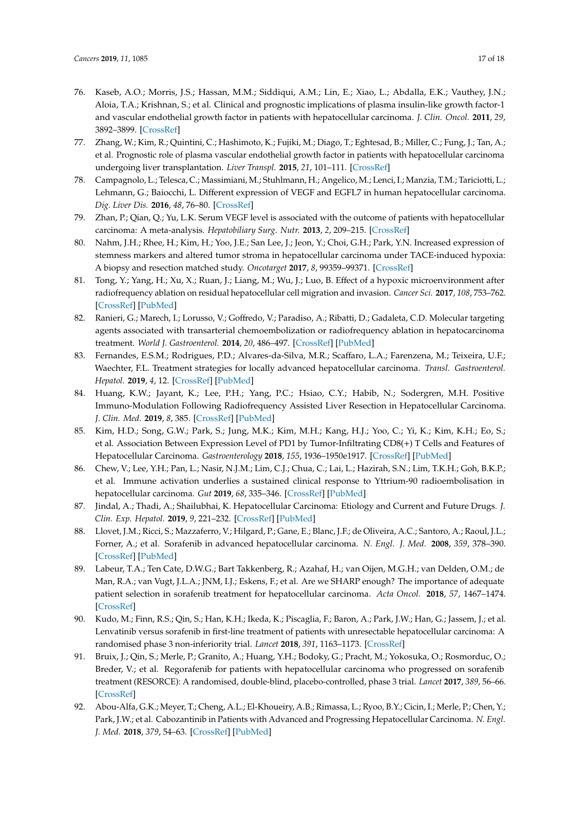- <span id="page-16-0"></span>76. Kaseb, A.O.; Morris, J.S.; Hassan, M.M.; Siddiqui, A.M.; Lin, E.; Xiao, L.; Abdalla, E.K.; Vauthey, J.N.; Aloia, T.A.; Krishnan, S.; et al. Clinical and prognostic implications of plasma insulin-like growth factor-1 and vascular endothelial growth factor in patients with hepatocellular carcinoma. *J. Clin. Oncol.* **2011**, *29*, 3892–3899. [\[CrossRef\]](http://dx.doi.org/10.1200/JCO.2011.36.0636)
- 77. Zhang, W.; Kim, R.; Quintini, C.; Hashimoto, K.; Fujiki, M.; Diago, T.; Eghtesad, B.; Miller, C.; Fung, J.; Tan, A.; et al. Prognostic role of plasma vascular endothelial growth factor in patients with hepatocellular carcinoma undergoing liver transplantation. *Liver Transpl.* **2015**, *21*, 101–111. [\[CrossRef\]](http://dx.doi.org/10.1002/lt.24013)
- <span id="page-16-1"></span>78. Campagnolo, L.; Telesca, C.; Massimiani, M.; Stuhlmann, H.; Angelico, M.; Lenci, I.; Manzia, T.M.; Tariciotti, L.; Lehmann, G.; Baiocchi, L. Different expression of VEGF and EGFL7 in human hepatocellular carcinoma. *Dig. Liver Dis.* **2016**, *48*, 76–80. [\[CrossRef\]](http://dx.doi.org/10.1016/j.dld.2015.09.019)
- <span id="page-16-2"></span>79. Zhan, P.; Qian, Q.; Yu, L.K. Serum VEGF level is associated with the outcome of patients with hepatocellular carcinoma: A meta-analysis. *Hepatobiliary Surg. Nutr.* **2013**, *2*, 209–215. [\[CrossRef\]](http://dx.doi.org/10.3978/j.issn.2304-3881.2013.06.07)
- <span id="page-16-3"></span>80. Nahm, J.H.; Rhee, H.; Kim, H.; Yoo, J.E.; San Lee, J.; Jeon, Y.; Choi, G.H.; Park, Y.N. Increased expression of stemness markers and altered tumor stroma in hepatocellular carcinoma under TACE-induced hypoxia: A biopsy and resection matched study. *Oncotarget* **2017**, *8*, 99359–99371. [\[CrossRef\]](http://dx.doi.org/10.18632/oncotarget.22078)
- <span id="page-16-4"></span>81. Tong, Y.; Yang, H.; Xu, X.; Ruan, J.; Liang, M.; Wu, J.; Luo, B. Effect of a hypoxic microenvironment after radiofrequency ablation on residual hepatocellular cell migration and invasion. *Cancer Sci.* **2017**, *108*, 753–762. [\[CrossRef\]](http://dx.doi.org/10.1111/cas.13191) [\[PubMed\]](http://www.ncbi.nlm.nih.gov/pubmed/28182306)
- <span id="page-16-5"></span>82. Ranieri, G.; Marech, I.; Lorusso, V.; Goffredo, V.; Paradiso, A.; Ribatti, D.; Gadaleta, C.D. Molecular targeting agents associated with transarterial chemoembolization or radiofrequency ablation in hepatocarcinoma treatment. *World J. Gastroenterol.* **2014**, *20*, 486–497. [\[CrossRef\]](http://dx.doi.org/10.3748/wjg.v20.i2.486) [\[PubMed\]](http://www.ncbi.nlm.nih.gov/pubmed/24574717)
- <span id="page-16-6"></span>83. Fernandes, E.S.M.; Rodrigues, P.D.; Alvares-da-Silva, M.R.; Scaffaro, L.A.; Farenzena, M.; Teixeira, U.F.; Waechter, F.L. Treatment strategies for locally advanced hepatocellular carcinoma. *Transl. Gastroenterol. Hepatol.* **2019**, *4*, 12. [\[CrossRef\]](http://dx.doi.org/10.21037/tgh.2019.01.02) [\[PubMed\]](http://www.ncbi.nlm.nih.gov/pubmed/30976715)
- <span id="page-16-7"></span>84. Huang, K.W.; Jayant, K.; Lee, P.H.; Yang, P.C.; Hsiao, C.Y.; Habib, N.; Sodergren, M.H. Positive Immuno-Modulation Following Radiofrequency Assisted Liver Resection in Hepatocellular Carcinoma. *J. Clin. Med.* **2019**, *8*, 385. [\[CrossRef\]](http://dx.doi.org/10.3390/jcm8030385) [\[PubMed\]](http://www.ncbi.nlm.nih.gov/pubmed/30893948)
- <span id="page-16-8"></span>85. Kim, H.D.; Song, G.W.; Park, S.; Jung, M.K.; Kim, M.H.; Kang, H.J.; Yoo, C.; Yi, K.; Kim, K.H.; Eo, S.; et al. Association Between Expression Level of PD1 by Tumor-Infiltrating CD8(+) T Cells and Features of Hepatocellular Carcinoma. *Gastroenterology* **2018**, *155*, 1936–1950e1917. [\[CrossRef\]](http://dx.doi.org/10.1053/j.gastro.2018.08.030) [\[PubMed\]](http://www.ncbi.nlm.nih.gov/pubmed/30145359)
- <span id="page-16-9"></span>86. Chew, V.; Lee, Y.H.; Pan, L.; Nasir, N.J.M.; Lim, C.J.; Chua, C.; Lai, L.; Hazirah, S.N.; Lim, T.K.H.; Goh, B.K.P.; et al. Immune activation underlies a sustained clinical response to Yttrium-90 radioembolisation in hepatocellular carcinoma. *Gut* **2019**, *68*, 335–346. [\[CrossRef\]](http://dx.doi.org/10.1136/gutjnl-2017-315485) [\[PubMed\]](http://www.ncbi.nlm.nih.gov/pubmed/29440463)
- <span id="page-16-10"></span>87. Jindal, A.; Thadi, A.; Shailubhai, K. Hepatocellular Carcinoma: Etiology and Current and Future Drugs. *J. Clin. Exp. Hepatol.* **2019**, *9*, 221–232. [\[CrossRef\]](http://dx.doi.org/10.1016/j.jceh.2019.01.004) [\[PubMed\]](http://www.ncbi.nlm.nih.gov/pubmed/31024205)
- <span id="page-16-11"></span>88. Llovet, J.M.; Ricci, S.; Mazzaferro, V.; Hilgard, P.; Gane, E.; Blanc, J.F.; de Oliveira, A.C.; Santoro, A.; Raoul, J.L.; Forner, A.; et al. Sorafenib in advanced hepatocellular carcinoma. *N. Engl. J. Med.* **2008**, *359*, 378–390. [\[CrossRef\]](http://dx.doi.org/10.1056/NEJMoa0708857) [\[PubMed\]](http://www.ncbi.nlm.nih.gov/pubmed/18650514)
- <span id="page-16-12"></span>89. Labeur, T.A.; Ten Cate, D.W.G.; Bart Takkenberg, R.; Azahaf, H.; van Oijen, M.G.H.; van Delden, O.M.; de Man, R.A.; van Vugt, J.L.A.; JNM, I.J.; Eskens, F.; et al. Are we SHARP enough? The importance of adequate patient selection in sorafenib treatment for hepatocellular carcinoma. *Acta Oncol.* **2018**, *57*, 1467–1474. [\[CrossRef\]](http://dx.doi.org/10.1080/0284186X.2018.1479070)
- <span id="page-16-13"></span>90. Kudo, M.; Finn, R.S.; Qin, S.; Han, K.H.; Ikeda, K.; Piscaglia, F.; Baron, A.; Park, J.W.; Han, G.; Jassem, J.; et al. Lenvatinib versus sorafenib in first-line treatment of patients with unresectable hepatocellular carcinoma: A randomised phase 3 non-inferiority trial. *Lancet* **2018**, *391*, 1163–1173. [\[CrossRef\]](http://dx.doi.org/10.1016/S0140-6736(18)30207-1)
- <span id="page-16-14"></span>91. Bruix, J.; Qin, S.; Merle, P.; Granito, A.; Huang, Y.H.; Bodoky, G.; Pracht, M.; Yokosuka, O.; Rosmorduc, O.; Breder, V.; et al. Regorafenib for patients with hepatocellular carcinoma who progressed on sorafenib treatment (RESORCE): A randomised, double-blind, placebo-controlled, phase 3 trial. *Lancet* **2017**, *389*, 56–66. [\[CrossRef\]](http://dx.doi.org/10.1016/S0140-6736(16)32453-9)
- <span id="page-16-15"></span>92. Abou-Alfa, G.K.; Meyer, T.; Cheng, A.L.; El-Khoueiry, A.B.; Rimassa, L.; Ryoo, B.Y.; Cicin, I.; Merle, P.; Chen, Y.; Park, J.W.; et al. Cabozantinib in Patients with Advanced and Progressing Hepatocellular Carcinoma. *N. Engl. J. Med.* **2018**, *379*, 54–63. [\[CrossRef\]](http://dx.doi.org/10.1056/NEJMoa1717002) [\[PubMed\]](http://www.ncbi.nlm.nih.gov/pubmed/29972759)